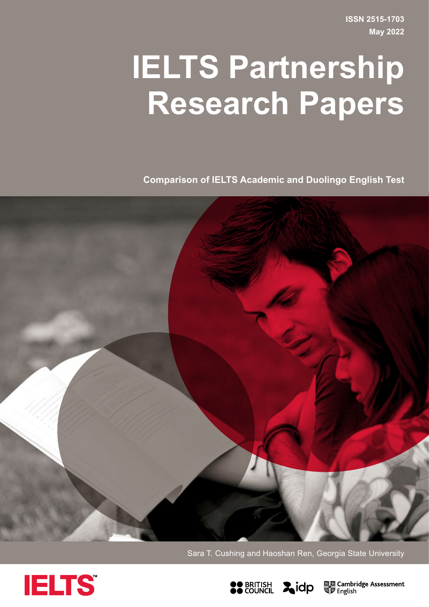**ISSN 2515-1703 May 2022**

# <span id="page-0-0"></span>**IELTS Partnership Research Papers**

**Comparison of IELTS Academic and Duolingo English Test**



Sara T. Cushing and Haoshan Ren, Georgia State University





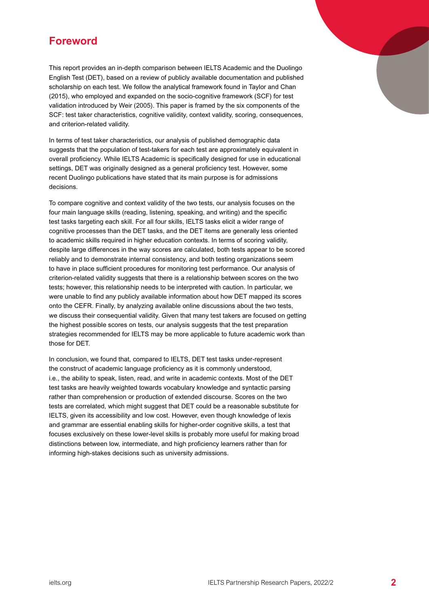# <span id="page-1-0"></span>**Foreword**

This report provides an in-depth comparison between IELTS Academic and the Duolingo English Test (DET), based on a review of publicly available documentation and published scholarship on each test. We follow the analytical framework found in Taylor and Chan (2015), who employed and expanded on the socio-cognitive framework (SCF) for test validation introduced by Weir (2005). This paper is framed by the six components of the SCF: test taker characteristics, cognitive validity, context validity, scoring, consequences, and criterion-related validity.

In terms of test taker characteristics, our analysis of published demographic data suggests that the population of test-takers for each test are approximately equivalent in overall proficiency. While IELTS Academic is specifically designed for use in educational settings, DET was originally designed as a general proficiency test. However, some recent Duolingo publications have stated that its main purpose is for admissions decisions.

To compare cognitive and context validity of the two tests, our analysis focuses on the four main language skills (reading, listening, speaking, and writing) and the specific test tasks targeting each skill. For all four skills, IELTS tasks elicit a wider range of cognitive processes than the DET tasks, and the DET items are generally less oriented to academic skills required in higher education contexts. In terms of scoring validity, despite large differences in the way scores are calculated, both tests appear to be scored reliably and to demonstrate internal consistency, and both testing organizations seem to have in place sufficient procedures for monitoring test performance. Our analysis of criterion-related validity suggests that there is a relationship between scores on the two tests; however, this relationship needs to be interpreted with caution. In particular, we were unable to find any publicly available information about how DET mapped its scores onto the CEFR. Finally, by analyzing available online discussions about the two tests, we discuss their consequential validity. Given that many test takers are focused on getting the highest possible scores on tests, our analysis suggests that the test preparation strategies recommended for IELTS may be more applicable to future academic work than those for DET.

In conclusion, we found that, compared to IELTS, DET test tasks under-represent the construct of academic language proficiency as it is commonly understood, i.e., the ability to speak, listen, read, and write in academic contexts. Most of the DET test tasks are heavily weighted towards vocabulary knowledge and syntactic parsing rather than comprehension or production of extended discourse. Scores on the two tests are correlated, which might suggest that DET could be a reasonable substitute for IELTS, given its accessibility and low cost. However, even though knowledge of lexis and grammar are essential enabling skills for higher-order cognitive skills, a test that focuses exclusively on these lower-level skills is probably more useful for making broad distinctions between low, intermediate, and high proficiency learners rather than for informing high-stakes decisions such as university admissions.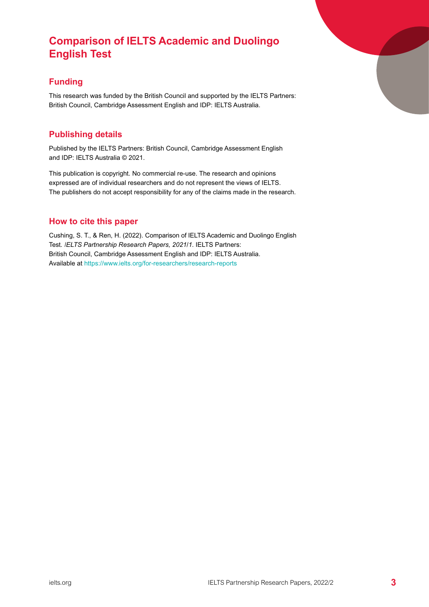# <span id="page-2-0"></span>**Comparison of IELTS Academic and Duolingo English Test**

## **Funding**

This research was funded by the British Council and supported by the IELTS Partners: British Council, Cambridge Assessment English and IDP: IELTS Australia.

## **Publishing details**

Published by the IELTS Partners: British Council, Cambridge Assessment English and IDP: IELTS Australia © 2021.

This publication is copyright. No commercial re-use. The research and opinions expressed are of individual researchers and do not represent the views of IELTS. The publishers do not accept responsibility for any of the claims made in the research.

## **How to cite this paper**

Cushing, S. T., & Ren, H. (2022). Comparison of IELTS Academic and Duolingo English Test. *IELTS Partnership Research Papers, 2021/1*. IELTS Partners: British Council, Cambridge Assessment English and IDP: IELTS Australia. Available at <https://www.ielts.org/for-researchers/research-reports>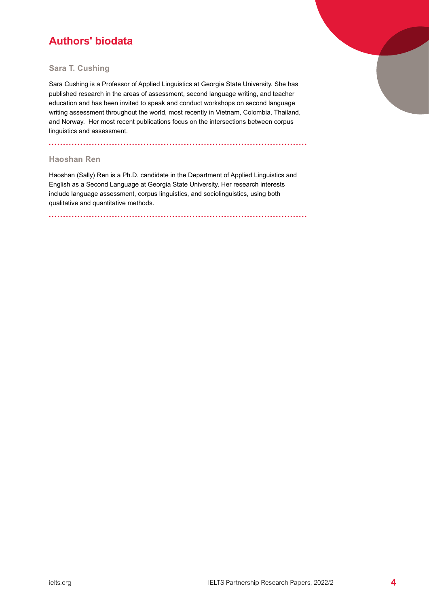# <span id="page-3-0"></span>**Authors' biodata**

#### **Sara T. Cushing**

Sara Cushing is a Professor of Applied Linguistics at Georgia State University. She has published research in the areas of assessment, second language writing, and teacher education and has been invited to speak and conduct workshops on second language writing assessment throughout the world, most recently in Vietnam, Colombia, Thailand, and Norway. Her most recent publications focus on the intersections between corpus linguistics and assessment.

#### **Haoshan Ren**

Haoshan (Sally) Ren is a Ph.D. candidate in the Department of Applied Linguistics and English as a Second Language at Georgia State University. Her research interests include language assessment, corpus linguistics, and sociolinguistics, using both qualitative and quantitative methods.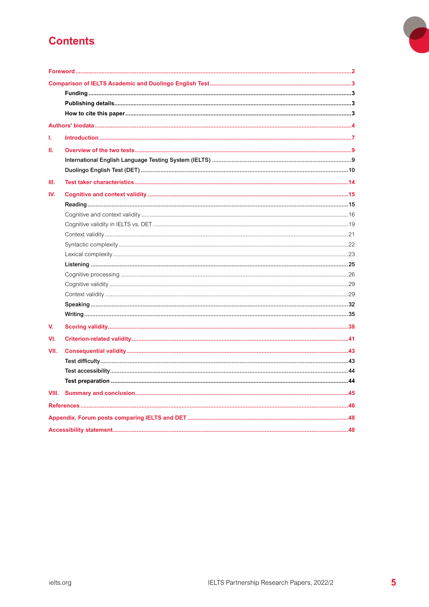# **Contents**

| ı.   |  |
|------|--|
| Ш.   |  |
|      |  |
|      |  |
| Ш.   |  |
| IV.  |  |
|      |  |
|      |  |
|      |  |
|      |  |
|      |  |
|      |  |
|      |  |
|      |  |
|      |  |
|      |  |
|      |  |
|      |  |
| V.   |  |
| VI.  |  |
| VII. |  |
|      |  |
|      |  |
|      |  |
|      |  |
|      |  |
|      |  |
|      |  |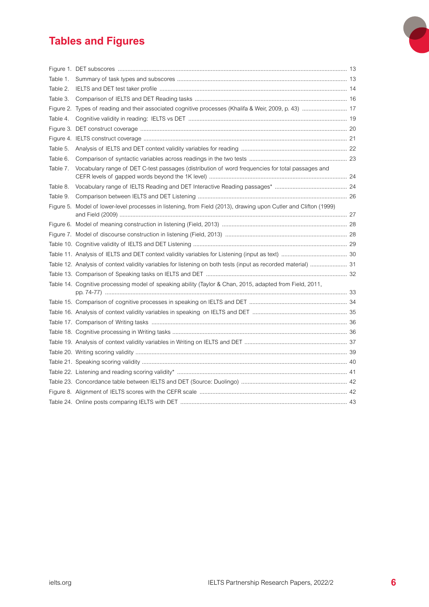# **Tables and Figures**

| Table 1. |                                                                                                                  |  |
|----------|------------------------------------------------------------------------------------------------------------------|--|
| Table 2. |                                                                                                                  |  |
| Table 3. |                                                                                                                  |  |
|          |                                                                                                                  |  |
| Table 4. |                                                                                                                  |  |
|          |                                                                                                                  |  |
|          |                                                                                                                  |  |
| Table 5. |                                                                                                                  |  |
| Table 6. |                                                                                                                  |  |
| Table 7. | Vocabulary range of DET C-test passages (distribution of word frequencies for total passages and                 |  |
| Table 8. |                                                                                                                  |  |
| Table 9. |                                                                                                                  |  |
|          | Figure 5. Model of lower-level processes in listening, from Field (2013), drawing upon Cutler and Clifton (1999) |  |
|          |                                                                                                                  |  |
|          |                                                                                                                  |  |
|          |                                                                                                                  |  |
|          |                                                                                                                  |  |
|          | Table 12. Analysis of context validity variables for listening on both tests (input as recorded material)  31    |  |
|          |                                                                                                                  |  |
|          | Table 14. Cognitive processing model of speaking ability (Taylor & Chan, 2015, adapted from Field, 2011,         |  |
|          |                                                                                                                  |  |
|          |                                                                                                                  |  |
|          |                                                                                                                  |  |
|          |                                                                                                                  |  |
|          |                                                                                                                  |  |
|          |                                                                                                                  |  |
|          |                                                                                                                  |  |
|          |                                                                                                                  |  |
|          |                                                                                                                  |  |
|          |                                                                                                                  |  |
|          |                                                                                                                  |  |

 $\overline{\phantom{a}}$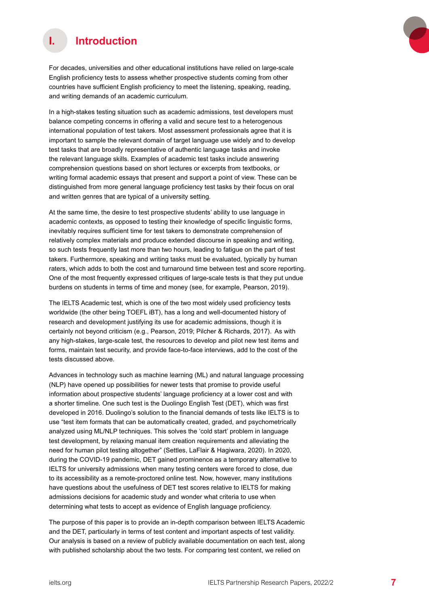<span id="page-6-0"></span>

For decades, universities and other educational institutions have relied on large-scale English proficiency tests to assess whether prospective students coming from other countries have sufficient English proficiency to meet the listening, speaking, reading, and writing demands of an academic curriculum.

In a high-stakes testing situation such as academic admissions, test developers must balance competing concerns in offering a valid and secure test to a heterogenous international population of test takers. Most assessment professionals agree that it is important to sample the relevant domain of target language use widely and to develop test tasks that are broadly representative of authentic language tasks and invoke the relevant language skills. Examples of academic test tasks include answering comprehension questions based on short lectures or excerpts from textbooks, or writing formal academic essays that present and support a point of view. These can be distinguished from more general language proficiency test tasks by their focus on oral and written genres that are typical of a university setting.

At the same time, the desire to test prospective students' ability to use language in academic contexts, as opposed to testing their knowledge of specific linguistic forms, inevitably requires sufficient time for test takers to demonstrate comprehension of relatively complex materials and produce extended discourse in speaking and writing, so such tests frequently last more than two hours, leading to fatigue on the part of test takers. Furthermore, speaking and writing tasks must be evaluated, typically by human raters, which adds to both the cost and turnaround time between test and score reporting. One of the most frequently expressed critiques of large-scale tests is that they put undue burdens on students in terms of time and money (see, for example, Pearson, 2019).

The IELTS Academic test, which is one of the two most widely used proficiency tests worldwide (the other being TOEFL iBT), has a long and well-documented history of research and development justifying its use for academic admissions, though it is certainly not beyond criticism (e.g., Pearson, 2019; Pilcher & Richards, 2017). As with any high-stakes, large-scale test, the resources to develop and pilot new test items and forms, maintain test security, and provide face-to-face interviews, add to the cost of the tests discussed above.

Advances in technology such as machine learning (ML) and natural language processing (NLP) have opened up possibilities for newer tests that promise to provide useful information about prospective students' language proficiency at a lower cost and with a shorter timeline. One such test is the Duolingo English Test (DET), which was first developed in 2016. Duolingo's solution to the financial demands of tests like IELTS is to use "test item formats that can be automatically created, graded, and psychometrically analyzed using ML/NLP techniques. This solves the 'cold start' problem in language test development, by relaxing manual item creation requirements and alleviating the need for human pilot testing altogether" (Settles, LaFlair & Hagiwara, 2020). In 2020, during the COVID-19 pandemic, DET gained prominence as a temporary alternative to IELTS for university admissions when many testing centers were forced to close, due to its accessibility as a remote-proctored online test. Now, however, many institutions have questions about the usefulness of DET test scores relative to IELTS for making admissions decisions for academic study and wonder what criteria to use when determining what tests to accept as evidence of English language proficiency.

The purpose of this paper is to provide an in-depth comparison between IELTS Academic and the DET, particularly in terms of test content and important aspects of test validity. Our analysis is based on a review of publicly available documentation on each test, along with published scholarship about the two tests. For comparing test content, we relied on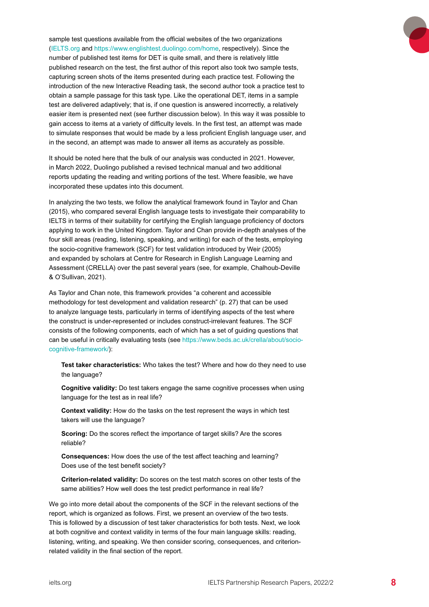sample test questions available from the official websites of the two organizations [\(IELTS.org](https://www.ielts.org/) and <https://www.englishtest.duolingo.com/home>, respectively). Since the number of published test items for DET is quite small, and there is relatively little published research on the test, the first author of this report also took two sample tests, capturing screen shots of the items presented during each practice test. Following the introduction of the new Interactive Reading task, the second author took a practice test to obtain a sample passage for this task type. Like the operational DET, items in a sample test are delivered adaptively; that is, if one question is answered incorrectly, a relatively easier item is presented next (see further discussion below). In this way it was possible to gain access to items at a variety of difficulty levels. In the first test, an attempt was made to simulate responses that would be made by a less proficient English language user, and in the second, an attempt was made to answer all items as accurately as possible.

It should be noted here that the bulk of our analysis was conducted in 2021. However, in March 2022, Duolingo published a revised technical manual and two additional reports updating the reading and writing portions of the test. Where feasible, we have incorporated these updates into this document.

In analyzing the two tests, we follow the analytical framework found in Taylor and Chan (2015), who compared several English language tests to investigate their comparability to IELTS in terms of their suitability for certifying the English language proficiency of doctors applying to work in the United Kingdom. Taylor and Chan provide in-depth analyses of the four skill areas (reading, listening, speaking, and writing) for each of the tests, employing the socio-cognitive framework (SCF) for test validation introduced by Weir (2005) and expanded by scholars at Centre for Research in English Language Learning and Assessment (CRELLA) over the past several years (see, for example, Chalhoub-Deville & O'Sullivan, 2021).

As Taylor and Chan note, this framework provides "a coherent and accessible methodology for test development and validation research" (p. 27) that can be used to analyze language tests, particularly in terms of identifying aspects of the test where the construct is under-represented or includes construct-irrelevant features. The SCF consists of the following components, each of which has a set of guiding questions that can be useful in critically evaluating tests (see [https://www.beds.ac.uk/crella/about/socio](https://www.beds.ac.uk/crella/about/socio-cognitive-framework/)[cognitive-framework/](https://www.beds.ac.uk/crella/about/socio-cognitive-framework/)):

**Test taker characteristics:** Who takes the test? Where and how do they need to use the language?

**Cognitive validity:** Do test takers engage the same cognitive processes when using language for the test as in real life?

**Context validity:** How do the tasks on the test represent the ways in which test takers will use the language?

**Scoring:** Do the scores reflect the importance of target skills? Are the scores reliable?

**Consequences:** How does the use of the test affect teaching and learning? Does use of the test benefit society?

**Criterion-related validity:** Do scores on the test match scores on other tests of the same abilities? How well does the test predict performance in real life?

We go into more detail about the components of the SCF in the relevant sections of the report, which is organized as follows. First, we present an overview of the two tests. This is followed by a discussion of test taker characteristics for both tests. Next, we look at both cognitive and context validity in terms of the four main language skills: reading, listening, writing, and speaking. We then consider scoring, consequences, and criterionrelated validity in the final section of the report.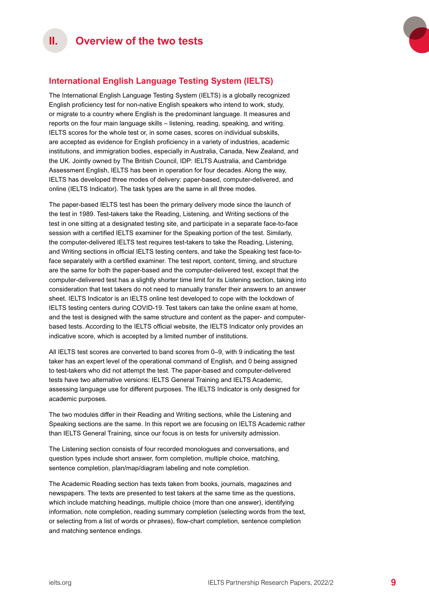

## <span id="page-8-0"></span>**International English Language Testing System (IELTS)**

The International English Language Testing System (IELTS) is a globally recognized English proficiency test for non-native English speakers who intend to work, study, or migrate to a country where English is the predominant language. It measures and reports on the four main language skills – listening, reading, speaking, and writing. IELTS scores for the whole test or, in some cases, scores on individual subskills, are accepted as evidence for English proficiency in a variety of industries, academic institutions, and immigration bodies, especially in Australia, Canada, New Zealand, and the UK. Jointly owned by The British Council, IDP: IELTS Australia, and Cambridge Assessment English, IELTS has been in operation for four decades. Along the way, IELTS has developed three modes of delivery: paper-based, computer-delivered, and online (IELTS Indicator). The task types are the same in all three modes.

The paper-based IELTS test has been the primary delivery mode since the launch of the test in 1989. Test-takers take the Reading, Listening, and Writing sections of the test in one sitting at a designated testing site, and participate in a separate face-to-face session with a certified IELTS examiner for the Speaking portion of the test. Similarly, the computer-delivered IELTS test requires test-takers to take the Reading, Listening, and Writing sections in official IELTS testing centers, and take the Speaking test face-toface separately with a certified examiner. The test report, content, timing, and structure are the same for both the paper-based and the computer-delivered test, except that the computer-delivered test has a slightly shorter time limit for its Listening section, taking into consideration that test takers do not need to manually transfer their answers to an answer sheet. IELTS Indicator is an IELTS online test developed to cope with the lockdown of IELTS testing centers during COVID-19. Test takers can take the online exam at home, and the test is designed with the same structure and content as the paper- and computerbased tests. According to the IELTS official website, the IELTS Indicator only provides an indicative score, which is accepted by a limited number of institutions.

All IELTS test scores are converted to band scores from 0–9, with 9 indicating the test taker has an expert level of the operational command of English, and 0 being assigned to test-takers who did not attempt the test. The paper-based and computer-delivered tests have two alternative versions: IELTS General Training and IELTS Academic, assessing language use for different purposes. The IELTS Indicator is only designed for academic purposes.

The two modules differ in their Reading and Writing sections, while the Listening and Speaking sections are the same. In this report we are focusing on IELTS Academic rather than IELTS General Training, since our focus is on tests for university admission.

The Listening section consists of four recorded monologues and conversations, and question types include short answer, form completion, multiple choice, matching, sentence completion, plan/map/diagram labeling and note completion.

The Academic Reading section has texts taken from books, journals, magazines and newspapers. The texts are presented to test takers at the same time as the questions, which include matching headings, multiple choice (more than one answer), identifying information, note completion, reading summary completion (selecting words from the text, or selecting from a list of words or phrases), flow-chart completion, sentence completion and matching sentence endings.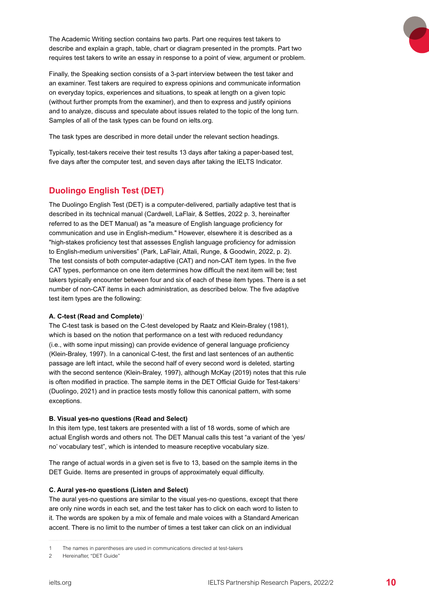<span id="page-9-0"></span>The Academic Writing section contains two parts. Part one requires test takers to describe and explain a graph, table, chart or diagram presented in the prompts. Part two requires test takers to write an essay in response to a point of view, argument or problem.

Finally, the Speaking section consists of a 3-part interview between the test taker and an examiner. Test takers are required to express opinions and communicate information on everyday topics, experiences and situations, to speak at length on a given topic (without further prompts from the examiner), and then to express and justify opinions and to analyze, discuss and speculate about issues related to the topic of the long turn. Samples of all of the task types can be found on ielts.org.

The task types are described in more detail under the relevant section headings.

Typically, test-takers receive their test results 13 days after taking a paper-based test, five days after the computer test, and seven days after taking the IELTS Indicator.

## **Duolingo English Test (DET)**

The Duolingo English Test (DET) is a computer-delivered, partially adaptive test that is described in its technical manual (Cardwell, LaFlair, & Settles, 2022 p. 3, hereinafter referred to as the DET Manual) as "a measure of English language proficiency for communication and use in English-medium." However, elsewhere it is described as a "high-stakes proficiency test that assesses English language proficiency for admission to English-medium universities" (Park, LaFlair, Attali, Runge, & Goodwin, 2022, p. 2). The test consists of both computer-adaptive (CAT) and non-CAT item types. In the five CAT types, performance on one item determines how difficult the next item will be; test takers typically encounter between four and six of each of these item types. There is a set number of non-CAT items in each administration, as described below. The five adaptive test item types are the following:

#### **A. C-test (Read and Complete)**<sup>1</sup>

The C-test task is based on the C-test developed by Raatz and Klein-Braley (1981), which is based on the notion that performance on a test with reduced redundancy (i.e., with some input missing) can provide evidence of general language proficiency (Klein-Braley, 1997). In a canonical C-test, the first and last sentences of an authentic passage are left intact, while the second half of every second word is deleted, starting with the second sentence (Klein-Braley, 1997), although McKay (2019) notes that this rule is often modified in practice. The sample items in the DET Official Guide for Test-takers<sup>2</sup> (Duolingo, 2021) and in practice tests mostly follow this canonical pattern, with some exceptions.

#### **B. Visual yes-no questions (Read and Select)**

In this item type, test takers are presented with a list of 18 words, some of which are actual English words and others not. The DET Manual calls this test "a variant of the 'yes/ no' vocabulary test", which is intended to measure receptive vocabulary size.

The range of actual words in a given set is five to 13, based on the sample items in the DET Guide. Items are presented in groups of approximately equal difficulty.

#### **C. Aural yes-no questions (Listen and Select)**

The aural yes-no questions are similar to the visual yes-no questions, except that there are only nine words in each set, and the test taker has to click on each word to listen to it. The words are spoken by a mix of female and male voices with a Standard American accent. There is no limit to the number of times a test taker can click on an individual

The names in parentheses are used in communications directed at test-takers

<sup>2</sup> Hereinafter, "DET Guide"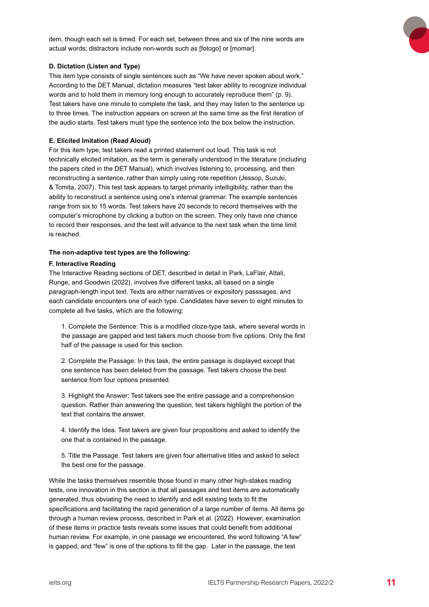

item, though each set is timed. For each set, between three and six of the nine words are actual words; distractors include non-words such as [fotogo] or [momər].

#### **D. Dictation (Listen and Type)**

This item type consists of single sentences such as "We have never spoken about work." According to the DET Manual, dictation measures "test taker ability to recognize individual words and to hold them in memory long enough to accurately reproduce them" (p. 9). Test takers have one minute to complete the task, and they may listen to the sentence up to three times. The instruction appears on screen at the same time as the first iteration of the audio starts. Test takers must type the sentence into the box below the instruction.

#### **E. Elicited Imitation (Read Aloud)**

For this item type, test takers read a printed statement out loud. This task is not technically elicited imitation, as the term is generally understood in the literature (including the papers cited in the DET Manual), which involves listening to, processing, and then reconstructing a sentence, rather than simply using rote repetition (Jessop, Suzuki, & Tomita, 2007). This test task appears to target primarily intelligibility, rather than the ability to reconstruct a sentence using one's internal grammar. The example sentences range from six to 15 words. Test takers have 20 seconds to record themselves with the computer's microphone by clicking a button on the screen. They only have one chance to record their responses, and the test will advance to the next task when the time limit is reached.

#### **The non-adaptive test types are the following:**

#### **F. Interactive Reading**

The Interactive Reading sections of DET, described in detail in Park, LaFlair, Attali, Runge, and Goodwin (2022), involves five different tasks, all based on a single paragraph-length input text. Texts are either narratives or expository passsages, and each candidate encounters one of each type. Candidates have seven to eight minutes to complete all five tasks, which are the following:

1. Complete the Sentence: This is a modified cloze-type task, where several words in the passage are gapped and test takers much choose from five options. Only the first half of the passage is used for this section.

2. Complete the Passage: In this task, the entire passage is displayed except that one sentence has been deleted from the passage. Test takers choose the best sentence from four options presented.

3. Highlight the Answer: Test takers see the entire passage and a comprehension question. Rather than answering the question, test takers highlight the portion of the text that contains the answer.

4. Identify the Idea. Test takers are given four propositions and asked to identify the one that is contained in the passage.

5. Title the Passage. Test takers are given four alternative titles and asked to select the best one for the passage.

While the tasks themselves resemble those found in many other high-stakes reading tests, one innovation in this section is that all passages and test items are automatically generated, thus obviating the need to identify and edit existing texts to fit the specifications and facilitating the rapid generation of a large number of items. All items go through a human review process, described in Park et al. (2022). However, examination of these items in practice tests reveals some issues that could benefit from additional human review. For example, in one passage we encountered, the word following "A few" is gapped, and "few" is one of the options to fill the gap. Later in the passage, the test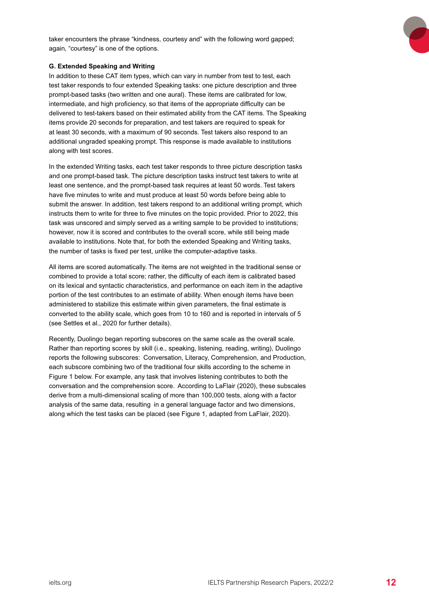

#### **G. Extended Speaking and Writing**

In addition to these CAT item types, which can vary in number from test to test, each test taker responds to four extended Speaking tasks: one picture description and three prompt-based tasks (two written and one aural). These items are calibrated for low, intermediate, and high proficiency, so that items of the appropriate difficulty can be delivered to test-takers based on their estimated ability from the CAT items. The Speaking items provide 20 seconds for preparation, and test takers are required to speak for at least 30 seconds, with a maximum of 90 seconds. Test takers also respond to an additional ungraded speaking prompt. This response is made available to institutions along with test scores.

In the extended Writing tasks, each test taker responds to three picture description tasks and one prompt-based task. The picture description tasks instruct test takers to write at least one sentence, and the prompt-based task requires at least 50 words. Test takers have five minutes to write and must produce at least 50 words before being able to submit the answer. In addition, test takers respond to an additional writing prompt, which instructs them to write for three to five minutes on the topic provided. Prior to 2022, this task was unscored and simply served as a writing sample to be provided to institutions; however, now it is scored and contributes to the overall score, while still being made available to institutions. Note that, for both the extended Speaking and Writing tasks, the number of tasks is fixed per test, unlike the computer-adaptive tasks.

All items are scored automatically. The items are not weighted in the traditional sense or combined to provide a total score; rather, the difficulty of each item is calibrated based on its lexical and syntactic characteristics, and performance on each item in the adaptive portion of the test contributes to an estimate of ability. When enough items have been administered to stabilize this estimate within given parameters, the final estimate is converted to the ability scale, which goes from 10 to 160 and is reported in intervals of 5 (see Settles et al., 2020 for further details).

Recently, Duolingo began reporting subscores on the same scale as the overall scale. Rather than reporting scores by skill (i.e., speaking, listening, reading, writing), Duolingo reports the following subscores: Conversation, Literacy, Comprehension, and Production, each subscore combining two of the traditional four skills according to the scheme in Figure 1 below. For example, any task that involves listening contributes to both the conversation and the comprehension score. According to LaFlair (2020), these subscales derive from a multi-dimensional scaling of more than 100,000 tests, along with a factor analysis of the same data, resulting in a general language factor and two dimensions, along which the test tasks can be placed (see Figure 1, adapted from LaFlair, 2020).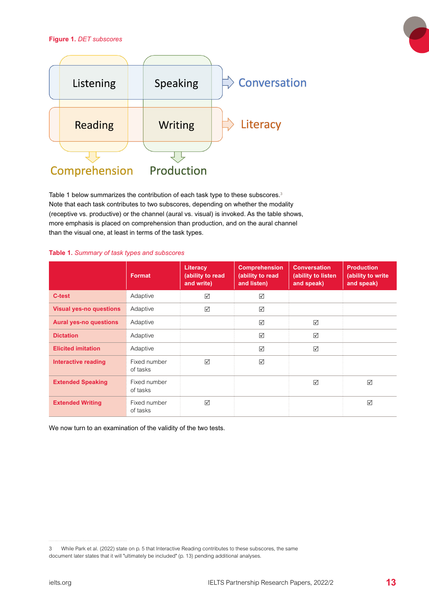#### <span id="page-12-0"></span>**Figure 1.** *DET subscores*



Table 1 below summarizes the contribution of each task type to these subscores.<sup>3</sup> Note that each task contributes to two subscores, depending on whether the modality (receptive vs. productive) or the channel (aural vs. visual) is invoked. As the table shows, more emphasis is placed on comprehension than production, and on the aural channel than the visual one, at least in terms of the task types.

#### **Table 1.** *Summary of task types and subscores*

|                                | <b>Format</b>            | <b>Literacy</b><br>(ability to read<br>and write) | <b>Comprehension</b><br>(ability to read<br>and listen) | <b>Conversation</b><br>(ability to listen<br>and speak) | <b>Production</b><br>(ability to write<br>and speak) |
|--------------------------------|--------------------------|---------------------------------------------------|---------------------------------------------------------|---------------------------------------------------------|------------------------------------------------------|
| C-test                         | Adaptive                 | ☑                                                 | ☑                                                       |                                                         |                                                      |
| <b>Visual yes-no questions</b> | Adaptive                 | ☑                                                 | ☑                                                       |                                                         |                                                      |
| <b>Aural yes-no questions</b>  | Adaptive                 |                                                   | $\triangledown$                                         | $\triangledown$                                         |                                                      |
| <b>Dictation</b>               | Adaptive                 |                                                   | ☑                                                       | ☑                                                       |                                                      |
| <b>Elicited imitation</b>      | Adaptive                 |                                                   | $\triangledown$                                         | $\triangledown$                                         |                                                      |
| Interactive reading            | Fixed number<br>of tasks | ☑                                                 | ☑                                                       |                                                         |                                                      |
| <b>Extended Speaking</b>       | Fixed number<br>of tasks |                                                   |                                                         | $\triangledown$                                         | $\triangledown$                                      |
| <b>Extended Writing</b>        | Fixed number<br>of tasks | ☑                                                 |                                                         |                                                         | $\triangledown$                                      |

We now turn to an examination of the validity of the two tests.

<sup>3</sup> While Park et al. (2022) state on p. 5 that Interactive Reading contributes to these subscores, the same document later states that it will "ultimately be included" (p. 13) pending additional analyses.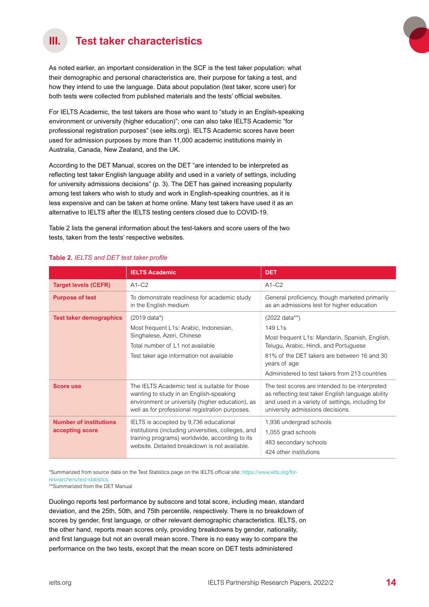# <span id="page-13-0"></span>**III. Test taker characteristics**

As noted earlier, an important consideration in the SCF is the test taker population: what their demographic and personal characteristics are, their purpose for taking a test, and how they intend to use the language. Data about population (test taker, score user) for both tests were collected from published materials and the tests' official websites.

For IELTS Academic, the test takers are those who want to "study in an English-speaking environment or university (higher education)"; one can also take IELTS Academic "for professional registration purposes" (see ielts.org). IELTS Academic scores have been used for admission purposes by more than 11,000 academic institutions mainly in Australia, Canada, New Zealand, and the UK.

According to the DET Manual, scores on the DET "are intended to be interpreted as reflecting test taker English language ability and used in a variety of settings, including for university admissions decisions" (p. 3). The DET has gained increasing popularity among test takers who wish to study and work in English-speaking countries, as it is less expensive and can be taken at home online. Many test takers have used it as an alternative to IELTS after the IELTS testing centers closed due to COVID-19.

Table 2 lists the general information about the test-takers and score users of the two tests, taken from the tests' respective websites.

|                                                                                                                                                                                                                                                      | <b>IELTS Academic</b>                                                                                                                                                                           | <b>DET</b>                                                                                                                                                                                                                           |
|------------------------------------------------------------------------------------------------------------------------------------------------------------------------------------------------------------------------------------------------------|-------------------------------------------------------------------------------------------------------------------------------------------------------------------------------------------------|--------------------------------------------------------------------------------------------------------------------------------------------------------------------------------------------------------------------------------------|
| <b>Target levels (CEFR)</b>                                                                                                                                                                                                                          | $A1-C2$                                                                                                                                                                                         | $A1-C2$                                                                                                                                                                                                                              |
| <b>Purpose of test</b>                                                                                                                                                                                                                               | To demonstrate readiness for academic study<br>in the English medium                                                                                                                            | General proficiency, though marketed primarily<br>as an admissions test for higher education                                                                                                                                         |
| <b>Test taker demographics</b>                                                                                                                                                                                                                       | (2019 data*)<br>Most frequent L1s: Arabic, Indonesian,<br>Singhalese, Azeri, Chinese<br>Total number of L1 not available<br>Test taker age information not available                            | (2022 data**)<br>149 L1s<br>Most frequent L1s: Mandarin, Spanish, English,<br>Telugu, Arabic, Hindi, and Portuguese<br>81% of the DET takers are between 16 and 30<br>years of age<br>Administered to test takers from 213 countries |
| Score use                                                                                                                                                                                                                                            | The IELTS Academic test is suitable for those<br>wanting to study in an English-speaking<br>environment or university (higher education), as<br>well as for professional registration purposes. | The test scores are intended to be interpreted<br>as reflecting test taker English language ability<br>and used in a variety of settings, including for<br>university admissions decisions.                                          |
| IELTS is accepted by 9,736 educational<br><b>Number of institutions</b><br>institutions (including universities, colleges, and<br>accepting score<br>training programs) worldwide, according to its<br>website. Detailed breakdown is not available. |                                                                                                                                                                                                 | 1,936 undergrad schools<br>1,055 grad schools<br>483 secondary schools<br>424 other institutions                                                                                                                                     |

#### **Table 2.** *IELTS and DET test taker profile*

\*Summarized from source data on the Test Statistics page on the IELTS official site: [https://www.ielts.org/for](https://www.ielts.org/for-researchers/test-statistics)[researchers/test-statistics](https://www.ielts.org/for-researchers/test-statistics)

\*\*Summarized from the DET Manual

Duolingo reports test performance by subscore and total score, including mean, standard deviation, and the 25th, 50th, and 75th percentile, respectively. There is no breakdown of scores by gender, first language, or other relevant demographic characteristics. IELTS, on the other hand, reports mean scores only, providing breakdowns by gender, nationality, and first language but not an overall mean score. There is no easy way to compare the performance on the two tests, except that the mean score on DET tests administered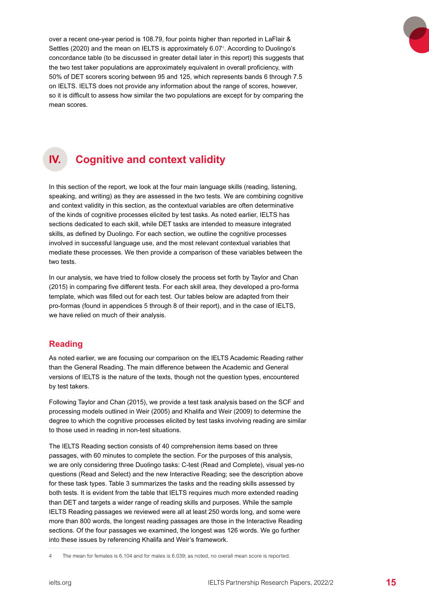<span id="page-14-0"></span>over a recent one-year period is 108.79, four points higher than reported in LaFlair & Settles (2020) and the mean on IELTS is approximately 6.07<sup>4</sup>. According to Duolingo's concordance table (to be discussed in greater detail later in this report) this suggests that the two test taker populations are approximately equivalent in overall proficiency, with 50% of DET scorers scoring between 95 and 125, which represents bands 6 through 7.5 on IELTS. IELTS does not provide any information about the range of scores, however, so it is difficult to assess how similar the two populations are except for by comparing the mean scores.



# **IV. Cognitive and context validity**

In this section of the report, we look at the four main language skills (reading, listening, speaking, and writing) as they are assessed in the two tests. We are combining cognitive and context validity in this section, as the contextual variables are often determinative of the kinds of cognitive processes elicited by test tasks. As noted earlier, IELTS has sections dedicated to each skill, while DET tasks are intended to measure integrated skills, as defined by Duolingo. For each section, we outline the cognitive processes involved in successful language use, and the most relevant contextual variables that mediate these processes. We then provide a comparison of these variables between the two tests.

In our analysis, we have tried to follow closely the process set forth by Taylor and Chan (2015) in comparing five different tests. For each skill area, they developed a pro-forma template, which was filled out for each test. Our tables below are adapted from their pro-formas (found in appendices 5 through 8 of their report), and in the case of IELTS, we have relied on much of their analysis.

## **Reading**

As noted earlier, we are focusing our comparison on the IELTS Academic Reading rather than the General Reading. The main difference between the Academic and General versions of IELTS is the nature of the texts, though not the question types, encountered by test takers.

Following Taylor and Chan (2015), we provide a test task analysis based on the SCF and processing models outlined in Weir (2005) and Khalifa and Weir (2009) to determine the degree to which the cognitive processes elicited by test tasks involving reading are similar to those used in reading in non-test situations.

The IELTS Reading section consists of 40 comprehension items based on three passages, with 60 minutes to complete the section. For the purposes of this analysis, we are only considering three Duolingo tasks: C-test (Read and Complete), visual yes-no questions (Read and Select) and the new Interactive Reading; see the description above for these task types. Table 3 summarizes the tasks and the reading skills assessed by both tests. It is evident from the table that IELTS requires much more extended reading than DET and targets a wider range of reading skills and purposes. While the sample IELTS Reading passages we reviewed were all at least 250 words long, and some were more than 800 words, the longest reading passages are those in the Interactive Reading sections. Of the four passages we examined, the longest was 126 words. We go further into these issues by referencing Khalifa and Weir's framework.

<sup>4</sup> The mean for females is 6.104 and for males is 6.039; as noted, no overall mean score is reported.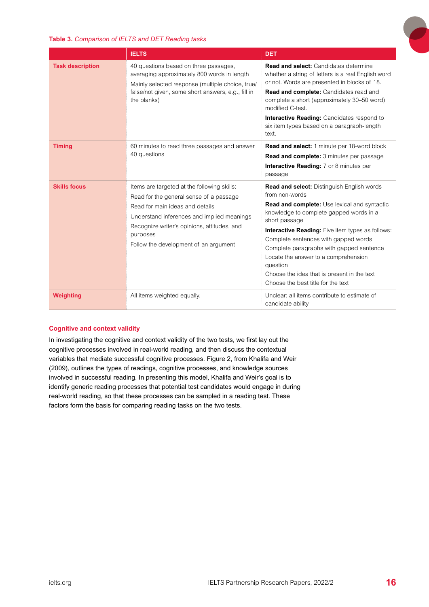

#### <span id="page-15-0"></span>**Table 3.** *Comparison of IELTS and DET Reading tasks*

|                         | <b>IELTS</b>                                                                                                                                                                                                                                                                | <b>DET</b>                                                                                                                                                                                                                                                                                                                                                                                                                                                              |
|-------------------------|-----------------------------------------------------------------------------------------------------------------------------------------------------------------------------------------------------------------------------------------------------------------------------|-------------------------------------------------------------------------------------------------------------------------------------------------------------------------------------------------------------------------------------------------------------------------------------------------------------------------------------------------------------------------------------------------------------------------------------------------------------------------|
| <b>Task description</b> | 40 questions based on three passages,<br>averaging approximately 800 words in length<br>Mainly selected response (multiple choice, true/<br>false/not given, some short answers, e.g., fill in<br>the blanks)                                                               | <b>Read and select:</b> Candidates determine<br>whether a string of letters is a real English word<br>or not. Words are presented in blocks of 18.<br>Read and complete: Candidates read and<br>complete a short (approximately 30-50 word)<br>modified C-test.<br>Interactive Reading: Candidates respond to<br>six item types based on a paragraph-length<br>text.                                                                                                    |
| <b>Timing</b>           | 60 minutes to read three passages and answer<br>40 questions                                                                                                                                                                                                                | <b>Read and select:</b> 1 minute per 18-word block<br>Read and complete: 3 minutes per passage<br><b>Interactive Reading:</b> 7 or 8 minutes per<br>passage                                                                                                                                                                                                                                                                                                             |
| <b>Skills focus</b>     | Items are targeted at the following skills:<br>Read for the general sense of a passage<br>Read for main ideas and details<br>Understand inferences and implied meanings<br>Recognize writer's opinions, attitudes, and<br>purposes<br>Follow the development of an argument | Read and select: Distinguish English words<br>from non-words<br><b>Read and complete:</b> Use lexical and syntactic<br>knowledge to complete gapped words in a<br>short passage<br><b>Interactive Reading:</b> Five item types as follows:<br>Complete sentences with gapped words<br>Complete paragraphs with gapped sentence<br>Locate the answer to a comprehension<br>question<br>Choose the idea that is present in the text<br>Choose the best title for the text |
| Weighting               | All items weighted equally.                                                                                                                                                                                                                                                 | Unclear; all items contribute to estimate of<br>candidate ability                                                                                                                                                                                                                                                                                                                                                                                                       |

#### **Cognitive and context validity**

In investigating the cognitive and context validity of the two tests, we first lay out the cognitive processes involved in real-world reading, and then discuss the contextual variables that mediate successful cognitive processes. Figure 2, from Khalifa and Weir (2009), outlines the types of readings, cognitive processes, and knowledge sources involved in successful reading. In presenting this model, Khalifa and Weir's goal is to identify generic reading processes that potential test candidates would engage in during real-world reading, so that these processes can be sampled in a reading test. These factors form the basis for comparing reading tasks on the two tests.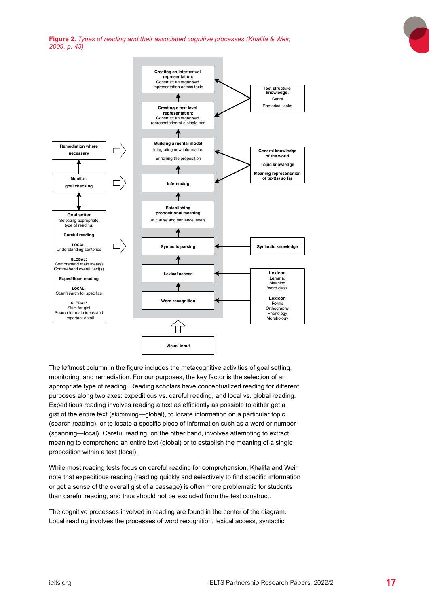<span id="page-16-0"></span>**Figure 2.** *Types of reading and their associated cognitive processes (Khalifa & Weir, 2009, p. 43)*



The leftmost column in the figure includes the metacognitive activities of goal setting. monitoring, and remediation. For our purposes, the key factor is the selection of an appropriate type of reading. Reading scholars have conceptualized reading for different purposes along two axes: expeditious vs. careful reading, and local vs. global reading. Expeditious reading involves reading a text as efficiently as possible to either get a gist of the entire text (skimming—global), to locate information on a particular topic (search reading), or to locate a specific piece of information such as a word or number (scanning—local). Careful reading, on the other hand, involves attempting to extract meaning to comprehend an entire text (global) or to establish the meaning of a single proposition within a text (local).

While most reading tests focus on careful reading for comprehension, Khalifa and Weir note that expeditious reading (reading quickly and selectively to find specific information or get a sense of the overall gist of a passage) is often more problematic for students than careful reading, and thus should not be excluded from the test construct.

The cognitive processes involved in reading are found in the center of the diagram. Local reading involves the processes of word recognition, lexical access, syntactic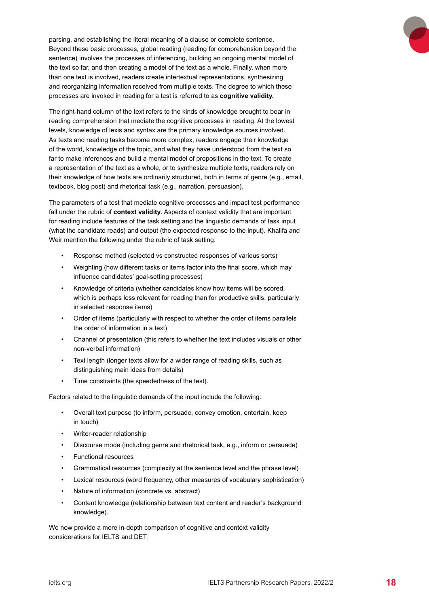

The right-hand column of the text refers to the kinds of knowledge brought to bear in reading comprehension that mediate the cognitive processes in reading. At the lowest levels, knowledge of lexis and syntax are the primary knowledge sources involved. As texts and reading tasks become more complex, readers engage their knowledge of the world, knowledge of the topic, and what they have understood from the text so far to make inferences and build a mental model of propositions in the text. To create a representation of the text as a whole, or to synthesize multiple texts, readers rely on their knowledge of how texts are ordinarily structured, both in terms of genre (e.g., email, textbook, blog post) and rhetorical task (e.g., narration, persuasion).

The parameters of a test that mediate cognitive processes and impact test performance fall under the rubric of **context validity**. Aspects of context validity that are important for reading include features of the task setting and the linguistic demands of task input (what the candidate reads) and output (the expected response to the input). Khalifa and Weir mention the following under the rubric of task setting:

- Response method (selected vs constructed responses of various sorts)
- Weighting (how different tasks or items factor into the final score, which may influence candidates' goal-setting processes)
- Knowledge of criteria (whether candidates know how items will be scored, which is perhaps less relevant for reading than for productive skills, particularly in selected response items)
- Order of items (particularly with respect to whether the order of items parallels the order of information in a text)
- Channel of presentation (this refers to whether the text includes visuals or other non-verbal information)
- Text length (longer texts allow for a wider range of reading skills, such as distinguishing main ideas from details)
- Time constraints (the speededness of the test).

Factors related to the linguistic demands of the input include the following:

- Overall text purpose (to inform, persuade, convey emotion, entertain, keep in touch)
- Writer-reader relationship
- Discourse mode (including genre and rhetorical task, e.g., inform or persuade)
- Functional resources
- Grammatical resources (complexity at the sentence level and the phrase level)
- Lexical resources (word frequency, other measures of vocabulary sophistication)
- Nature of information (concrete vs. abstract)
- Content knowledge (relationship between text content and reader's background knowledge).

We now provide a more in-depth comparison of cognitive and context validity considerations for IELTS and DET.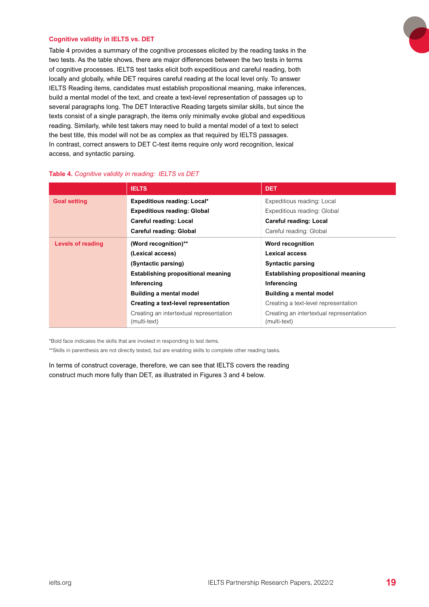#### <span id="page-18-0"></span>**Cognitive validity in IELTS vs. DET**

Table 4 provides a summary of the cognitive processes elicited by the reading tasks in the two tests. As the table shows, there are major differences between the two tests in terms of cognitive processes. IELTS test tasks elicit both expeditious and careful reading, both locally and globally, while DET requires careful reading at the local level only. To answer IELTS Reading items, candidates must establish propositional meaning, make inferences, build a mental model of the text, and create a text-level representation of passages up to several paragraphs long. The DET Interactive Reading targets similar skills, but since the texts consist of a single paragraph, the items only minimally evoke global and expeditious reading. Similarly, while test takers may need to build a mental model of a text to select the best title, this model will not be as complex as that required by IELTS passages. In contrast, correct answers to DET C-test items require only word recognition, lexical access, and syntactic parsing.

|                          | <b>IELTS</b>                                            | <b>DET</b>                                              |
|--------------------------|---------------------------------------------------------|---------------------------------------------------------|
| <b>Goal setting</b>      | <b>Expeditious reading: Local*</b>                      | Expeditious reading: Local                              |
|                          | <b>Expeditious reading: Global</b>                      | Expeditious reading: Global                             |
|                          | <b>Careful reading: Local</b>                           | <b>Careful reading: Local</b>                           |
|                          | <b>Careful reading: Global</b>                          | Careful reading: Global                                 |
| <b>Levels of reading</b> | (Word recognition)**                                    | <b>Word recognition</b>                                 |
|                          | (Lexical access)                                        | Lexical access                                          |
|                          | (Syntactic parsing)                                     | <b>Syntactic parsing</b>                                |
|                          | <b>Establishing propositional meaning</b>               | <b>Establishing propositional meaning</b>               |
|                          | Inferencing                                             | Inferencing                                             |
|                          | <b>Building a mental model</b>                          | <b>Building a mental model</b>                          |
|                          | Creating a text-level representation                    | Creating a text-level representation                    |
|                          | Creating an intertextual representation<br>(multi-text) | Creating an intertextual representation<br>(multi-text) |

#### **Table 4.** *Cognitive validity in reading: IELTS vs DET*

\*Bold face indicates the skills that are invoked in responding to test items.

\*\*Skills in parenthesis are not directly tested, but are enabling skills to complete other reading tasks.

In terms of construct coverage, therefore, we can see that IELTS covers the reading construct much more fully than DET, as illustrated in Figures 3 and 4 below.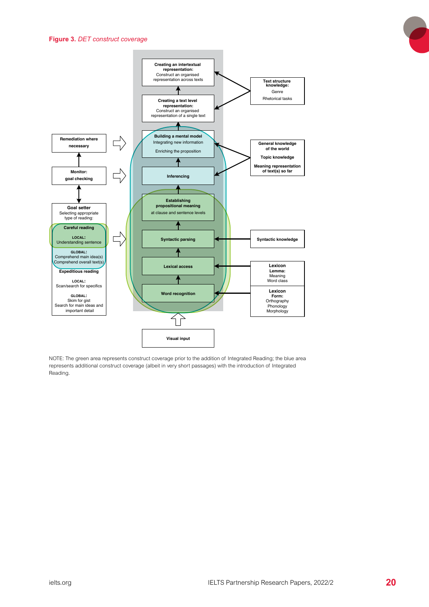

<span id="page-19-0"></span>

NOTE: The green area represents construct coverage prior to the addition of Integrated Reading; the blue area represents additional construct coverage (albeit in very short passages) with the introduction of Integrated Reading.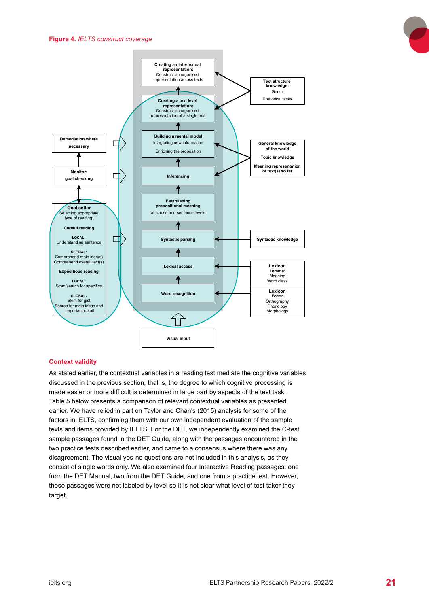

#### **Context validity**

As stated earlier, the contextual variables in a reading test mediate the cognitive variables discussed in the previous section; that is, the degree to which cognitive processing is made easier or more difficult is determined in large part by aspects of the test task. Table 5 below presents a comparison of relevant contextual variables as presented earlier. We have relied in part on Taylor and Chan's (2015) analysis for some of the factors in IELTS, confirming them with our own independent evaluation of the sample texts and items provided by IELTS. For the DET, we independently examined the C-test sample passages found in the DET Guide, along with the passages encountered in the two practice tests described earlier, and came to a consensus where there was any disagreement. The visual yes-no questions are not included in this analysis, as they consist of single words only. We also examined four Interactive Reading passages: one from the DET Manual, two from the DET Guide, and one from a practice test. However, these passages were not labeled by level so it is not clear what level of test taker they target.

#### <span id="page-20-0"></span>**Figure 4.** *IELTS construct coverage*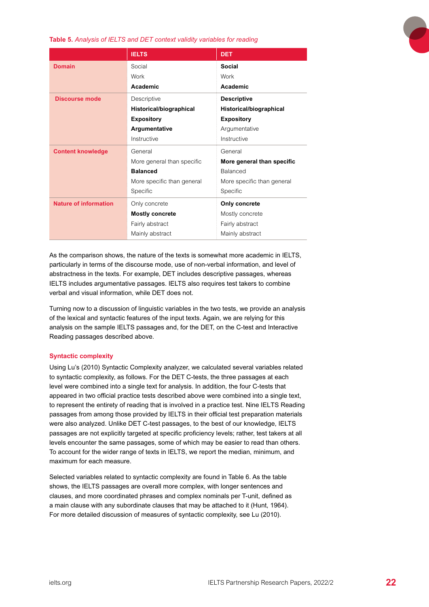<span id="page-21-0"></span>**Table 5.** *Analysis of IELTS and DET context validity variables for reading* 

|                              | <b>IELTS</b>                                             | <b>DET</b>                 |
|------------------------------|----------------------------------------------------------|----------------------------|
| <b>Domain</b>                | Social                                                   | Social                     |
|                              | Work                                                     | Work                       |
|                              | Academic                                                 | Academic                   |
| <b>Discourse mode</b>        | Descriptive                                              | <b>Descriptive</b>         |
|                              | Historical/biographical                                  | Historical/biographical    |
|                              | <b>Expository</b>                                        | <b>Expository</b>          |
|                              | Argumentative                                            | Argumentative              |
|                              | Instructive                                              | Instructive                |
| <b>Content knowledge</b>     | General                                                  | General                    |
|                              | More general than specific                               | More general than specific |
|                              | <b>Balanced</b>                                          | <b>Balanced</b>            |
|                              | More specific than general<br>More specific than general |                            |
|                              | Specific                                                 | Specific                   |
| <b>Nature of information</b> | Only concrete                                            | Only concrete              |
|                              | <b>Mostly concrete</b>                                   | Mostly concrete            |
|                              | Fairly abstract                                          | Fairly abstract            |
|                              | Mainly abstract                                          | Mainly abstract            |

As the comparison shows, the nature of the texts is somewhat more academic in IELTS, particularly in terms of the discourse mode, use of non-verbal information, and level of abstractness in the texts. For example, DET includes descriptive passages, whereas IELTS includes argumentative passages. IELTS also requires test takers to combine verbal and visual information, while DET does not.

Turning now to a discussion of linguistic variables in the two tests, we provide an analysis of the lexical and syntactic features of the input texts. Again, we are relying for this analysis on the sample IELTS passages and, for the DET, on the C-test and Interactive Reading passages described above.

#### **Syntactic complexity**

Using Lu's (2010) Syntactic Complexity analyzer, we calculated several variables related to syntactic complexity, as follows. For the DET C-tests, the three passages at each level were combined into a single text for analysis. In addition, the four C-tests that appeared in two official practice tests described above were combined into a single text, to represent the entirety of reading that is involved in a practice test. Nine IELTS Reading passages from among those provided by IELTS in their official test preparation materials were also analyzed. Unlike DET C-test passages, to the best of our knowledge, IELTS passages are not explicitly targeted at specific proficiency levels; rather, test takers at all levels encounter the same passages, some of which may be easier to read than others. To account for the wider range of texts in IELTS, we report the median, minimum, and maximum for each measure.

Selected variables related to syntactic complexity are found in Table 6. As the table shows, the IELTS passages are overall more complex, with longer sentences and clauses, and more coordinated phrases and complex nominals per T-unit, defined as a main clause with any subordinate clauses that may be attached to it (Hunt, 1964). For more detailed discussion of measures of syntactic complexity, see Lu (2010).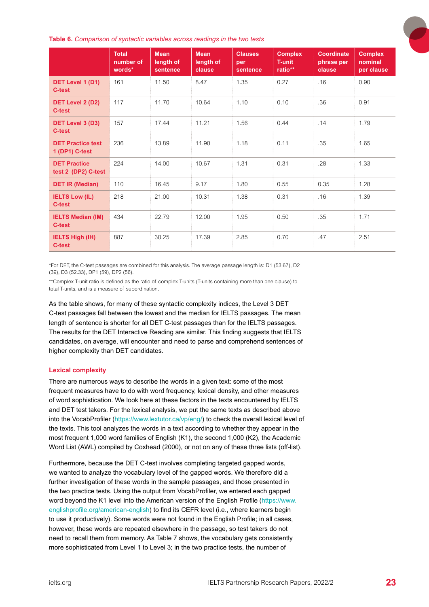<span id="page-22-0"></span>**Table 6.** *Comparison of syntactic variables across readings in the two tests*

|                                            | <b>Total</b><br>number of<br>words* | <b>Mean</b><br>length of<br>sentence | <b>Mean</b><br>length of<br>clause | <b>Clauses</b><br>per<br>sentence | <b>Complex</b><br><b>T-unit</b><br>ratio** | <b>Coordinate</b><br>phrase per<br>clause | <b>Complex</b><br>nominal<br>per clause |
|--------------------------------------------|-------------------------------------|--------------------------------------|------------------------------------|-----------------------------------|--------------------------------------------|-------------------------------------------|-----------------------------------------|
| DET Level 1 (D1)<br><b>C-test</b>          | 161                                 | 11.50                                | 8.47                               | 1.35                              | 0.27                                       | .16                                       | 0.90                                    |
| DET Level 2 (D2)<br>C-test                 | 117                                 | 11.70                                | 10.64                              | 1.10                              | 0.10                                       | .36                                       | 0.91                                    |
| DET Level 3 (D3)<br>C-test                 | 157                                 | 17.44                                | 11.21                              | 1.56                              | 0.44                                       | .14                                       | 1.79                                    |
| <b>DET Practice test</b><br>1 (DP1) C-test | 236                                 | 13.89                                | 11.90                              | 1.18                              | 0.11                                       | .35                                       | 1.65                                    |
| <b>DET Practice</b><br>test 2 (DP2) C-test | 224                                 | 14.00                                | 10.67                              | 1.31                              | 0.31                                       | .28                                       | 1.33                                    |
| <b>DET IR (Median)</b>                     | 110                                 | 16.45                                | 9.17                               | 1.80                              | 0.55                                       | 0.35                                      | 1.28                                    |
| <b>IELTS Low (IL)</b><br>C-test            | 218                                 | 21.00                                | 10.31                              | 1.38                              | 0.31                                       | .16                                       | 1.39                                    |
| <b>IELTS Median (IM)</b><br>C-test         | 434                                 | 22.79                                | 12.00                              | 1.95                              | 0.50                                       | .35                                       | 1.71                                    |
| <b>IELTS High (IH)</b><br>C-test           | 887                                 | 30.25                                | 17.39                              | 2.85                              | 0.70                                       | .47                                       | 2.51                                    |

\*For DET, the C-test passages are combined for this analysis. The average passage length is: D1 (53.67), D2 (39), D3 (52.33), DP1 (59), DP2 (56).

\*\*Complex T-unit ratio is defined as the ratio of complex T-units (T-units containing more than one clause) to total T-units, and is a measure of subordination.

As the table shows, for many of these syntactic complexity indices, the Level 3 DET C-test passages fall between the lowest and the median for IELTS passages. The mean length of sentence is shorter for all DET C-test passages than for the IELTS passages. The results for the DET Interactive Reading are similar. This finding suggests that IELTS candidates, on average, will encounter and need to parse and comprehend sentences of higher complexity than DET candidates.

#### **Lexical complexity**

There are numerous ways to describe the words in a given text: some of the most frequent measures have to do with word frequency, lexical density, and other measures of word sophistication. We look here at these factors in the texts encountered by IELTS and DET test takers. For the lexical analysis, we put the same texts as described above into the VocabProfiler [\(https://www.lextutor.ca/vp/eng/\)](https://www.lextutor.ca/vp/eng/) to check the overall lexical level of the texts. This tool analyzes the words in a text according to whether they appear in the most frequent 1,000 word families of English (K1), the second 1,000 (K2), the Academic Word List (AWL) compiled by Coxhead (2000), or not on any of these three lists (off-list).

Furthermore, because the DET C-test involves completing targeted gapped words, we wanted to analyze the vocabulary level of the gapped words. We therefore did a further investigation of these words in the sample passages, and those presented in the two practice tests. Using the output from VocabProfiler, we entered each gapped word beyond the K1 level into the American version of the English Profile [\(https://www.](https://www.englishprofile.org/american-english) [englishprofile.org/american-english\)](https://www.englishprofile.org/american-english) to find its CEFR level (i.e., where learners begin to use it productively). Some words were not found in the English Profile; in all cases, however, these words are repeated elsewhere in the passage, so test takers do not need to recall them from memory. As Table 7 shows, the vocabulary gets consistently more sophisticated from Level 1 to Level 3; in the two practice tests, the number of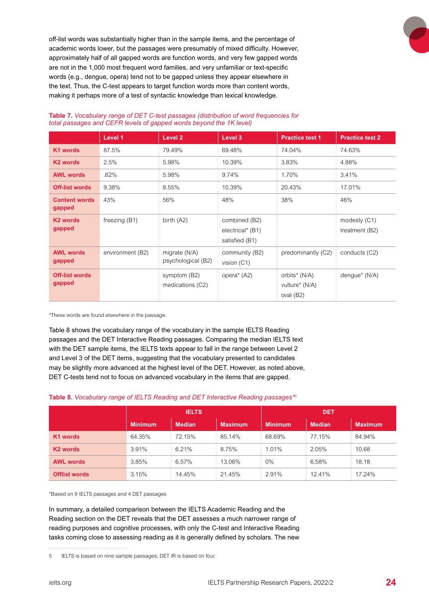<span id="page-23-0"></span>off-list words was substantially higher than in the sample items, and the percentage of academic words lower, but the passages were presumably of mixed difficulty. However, approximately half of all gapped words are function words, and very few gapped words are not in the 1,000 most frequent word families, and very unfamiliar or text-specific words (e.g., dengue, opera) tend not to be gapped unless they appear elsewhere in the text. Thus, the C-test appears to target function words more than content words, making it perhaps more of a test of syntactic knowledge than lexical knowledge.

|                                 | Level 1          | Level 2                             | Level 3                                             | <b>Practice test 1</b>                       | <b>Practice test 2</b>         |
|---------------------------------|------------------|-------------------------------------|-----------------------------------------------------|----------------------------------------------|--------------------------------|
| K1 words                        | 87.5%            | 79.49%                              | 69.48%                                              | 74.04%                                       | 74.63%                         |
| K <sub>2</sub> words            | 2.5%             | 5.98%                               | 10.39%                                              | 3.83%                                        | 4.88%                          |
| <b>AWL words</b>                | .62%             | 5.98%                               | 9.74%                                               | 1.70%                                        | 3.41%                          |
| <b>Off-list words</b>           | 9.38%            | 8.55%                               | 10.39%                                              | 20.43%                                       | 17.01%                         |
| <b>Content words</b><br>gapped  | 43%              | 56%                                 | 48%                                                 | 38%                                          | 46%                            |
| K <sub>2</sub> words<br>gapped  | freezing (B1)    | birth $(A2)$                        | combined (B2)<br>electrical* (B1)<br>satisfied (B1) |                                              | modesty (C1)<br>treatment (B2) |
| <b>AWL words</b><br>gapped      | environment (B2) | migrate (N/A)<br>psychological (B2) | community (B2)<br>vision (C1)                       | predominantly (C2)                           | conducts (C2)                  |
| <b>Off-list words</b><br>gapped |                  | symptom (B2)<br>medications (C2)    | opera <sup>*</sup> (A2)                             | orbits* (N/A)<br>vulture* (N/A)<br>oval (B2) | dengue* (N/A)                  |

#### **Table 7.** *Vocabulary range of DET C-test passages (distribution of word frequencies for total passages and CEFR levels of gapped words beyond the 1K level)*

\*These words are found elsewhere in the passage.

Table 8 shows the vocabulary range of the vocabulary in the sample IELTS Reading passages and the DET Interactive Reading passages. Comparing the median IELTS text with the DET sample items, the IELTS texts appear to fall in the range between Level 2 and Level 3 of the DET items, suggesting that the vocabulary presented to candidates may be slightly more advanced at the highest level of the DET. However, as noted above, DET C-tests tend not to focus on advanced vocabulary in the items that are gapped.

#### **Table 8.** *Vocabulary range of IELTS Reading and DET Interactive Reading passages\**<sup>5</sup>

|                      | <b>IELTS</b>   |               |                | <b>DET</b>     |               |                |
|----------------------|----------------|---------------|----------------|----------------|---------------|----------------|
|                      | <b>Minimum</b> | <b>Median</b> | <b>Maximum</b> | <b>Minimum</b> | <b>Median</b> | <b>Maximum</b> |
| K1 words             | 64.35%         | 72.15%        | 85.14%         | 68.69%         | 77.15%        | 84.94%         |
| K <sub>2</sub> words | 3.91%          | 6.21%         | 8.75%          | 1.01%          | 2.05%         | 10.68          |
| <b>AWL words</b>     | 3.85%          | 6.57%         | 13.06%         | $0\%$          | 6.58%         | 18.18          |
| <b>Offlist words</b> | 3.15%          | 14.45%        | 21.45%         | 2.91%          | 12.41%        | 17.24%         |

\*Based on 9 IELTS passages and 4 DET passages

In summary, a detailed comparison between the IELTS Academic Reading and the Reading section on the DET reveals that the DET assesses a much narrower range of reading purposes and cognitive processes, with only the C-test and Interactive Reading tasks coming close to assessing reading as it is generally defined by scholars. The new

<sup>5</sup> IELTS is based on nine sample passages; DET IR is based on four.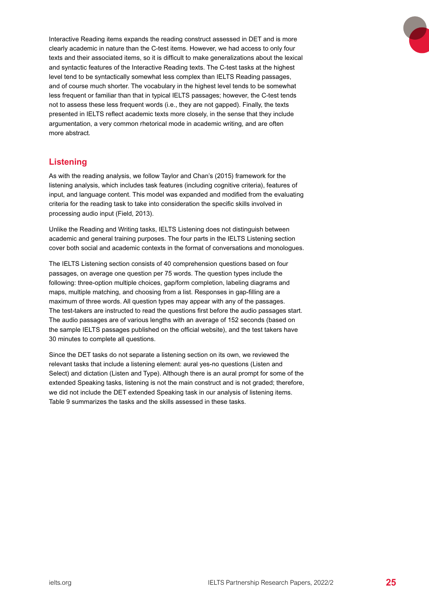<span id="page-24-0"></span>Interactive Reading items expands the reading construct assessed in DET and is more clearly academic in nature than the C-test items. However, we had access to only four texts and their associated items, so it is difficult to make generalizations about the lexical and syntactic features of the Interactive Reading texts. The C-test tasks at the highest level tend to be syntactically somewhat less complex than IELTS Reading passages, and of course much shorter. The vocabulary in the highest level tends to be somewhat less frequent or familiar than that in typical IELTS passages; however, the C-test tends not to assess these less frequent words (i.e., they are not gapped). Finally, the texts presented in IELTS reflect academic texts more closely, in the sense that they include argumentation, a very common rhetorical mode in academic writing, and are often more abstract.

## **Listening**

As with the reading analysis, we follow Taylor and Chan's (2015) framework for the listening analysis, which includes task features (including cognitive criteria), features of input, and language content. This model was expanded and modified from the evaluating criteria for the reading task to take into consideration the specific skills involved in processing audio input (Field, 2013).

Unlike the Reading and Writing tasks, IELTS Listening does not distinguish between academic and general training purposes. The four parts in the IELTS Listening section cover both social and academic contexts in the format of conversations and monologues.

The IELTS Listening section consists of 40 comprehension questions based on four passages, on average one question per 75 words. The question types include the following: three-option multiple choices, gap/form completion, labeling diagrams and maps, multiple matching, and choosing from a list. Responses in gap-filling are a maximum of three words. All question types may appear with any of the passages. The test-takers are instructed to read the questions first before the audio passages start. The audio passages are of various lengths with an average of 152 seconds (based on the sample IELTS passages published on the official website), and the test takers have 30 minutes to complete all questions.

Since the DET tasks do not separate a listening section on its own, we reviewed the relevant tasks that include a listening element: aural yes-no questions (Listen and Select) and dictation (Listen and Type). Although there is an aural prompt for some of the extended Speaking tasks, listening is not the main construct and is not graded; therefore, we did not include the DET extended Speaking task in our analysis of listening items. Table 9 summarizes the tasks and the skills assessed in these tasks.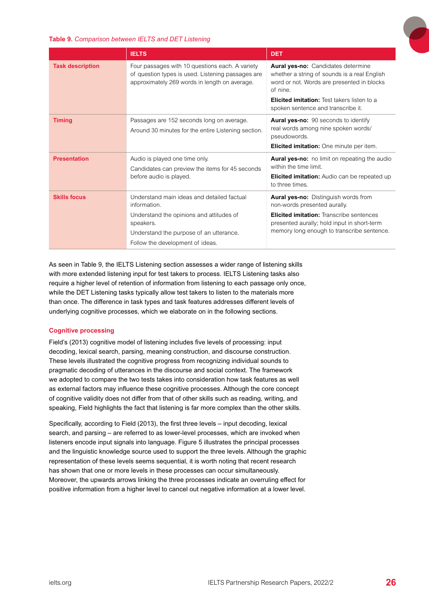

#### <span id="page-25-0"></span>**Table 9.** *Comparison between IELTS and DET Listening*

|                         | <b>IELTS</b>                                                                                                                                                                                       | <b>DET</b>                                                                                                                                                                                                                               |
|-------------------------|----------------------------------------------------------------------------------------------------------------------------------------------------------------------------------------------------|------------------------------------------------------------------------------------------------------------------------------------------------------------------------------------------------------------------------------------------|
| <b>Task description</b> | Four passages with 10 questions each. A variety<br>of question types is used. Listening passages are<br>approximately 269 words in length on average.                                              | Aural yes-no: Candidates determine<br>whether a string of sounds is a real English<br>word or not. Words are presented in blocks<br>of nine.<br><b>Elicited imitation:</b> Test takers listen to a<br>spoken sentence and transcribe it. |
| <b>Timing</b>           | Passages are 152 seconds long on average.<br>Around 30 minutes for the entire Listening section.                                                                                                   | <b>Aural yes-no:</b> 90 seconds to identify<br>real words among nine spoken words/<br>pseudowords.<br><b>Elicited imitation:</b> One minute per item.                                                                                    |
| <b>Presentation</b>     | Audio is played one time only.<br>Candidates can preview the items for 45 seconds<br>before audio is played.                                                                                       | Aural yes-no: no limit on repeating the audio<br>within the time limit.<br><b>Elicited imitation:</b> Audio can be repeated up<br>to three times.                                                                                        |
| <b>Skills focus</b>     | Understand main ideas and detailed factual<br>information.<br>Understand the opinions and attitudes of<br>speakers.<br>Understand the purpose of an utterance.<br>Follow the development of ideas. | <b>Aural yes-no:</b> Distinguish words from<br>non-words presented aurally.<br><b>Elicited imitation:</b> Transcribe sentences<br>presented aurally; hold input in short-term<br>memory long enough to transcribe sentence.              |

As seen in Table 9, the IELTS Listening section assesses a wider range of listening skills with more extended listening input for test takers to process. IELTS Listening tasks also require a higher level of retention of information from listening to each passage only once, while the DET Listening tasks typically allow test takers to listen to the materials more than once. The difference in task types and task features addresses different levels of underlying cognitive processes, which we elaborate on in the following sections.

#### **Cognitive processing**

Field's (2013) cognitive model of listening includes five levels of processing: input decoding, lexical search, parsing, meaning construction, and discourse construction. These levels illustrated the cognitive progress from recognizing individual sounds to pragmatic decoding of utterances in the discourse and social context. The framework we adopted to compare the two tests takes into consideration how task features as well as external factors may influence these cognitive processes. Although the core concept of cognitive validity does not differ from that of other skills such as reading, writing, and speaking, Field highlights the fact that listening is far more complex than the other skills.

Specifically, according to Field (2013), the first three levels – input decoding, lexical search, and parsing – are referred to as lower-level processes, which are invoked when listeners encode input signals into language. Figure 5 illustrates the principal processes and the linguistic knowledge source used to support the three levels. Although the graphic representation of these levels seems sequential, it is worth noting that recent research has shown that one or more levels in these processes can occur simultaneously. Moreover, the upwards arrows linking the three processes indicate an overruling effect for positive information from a higher level to cancel out negative information at a lower level.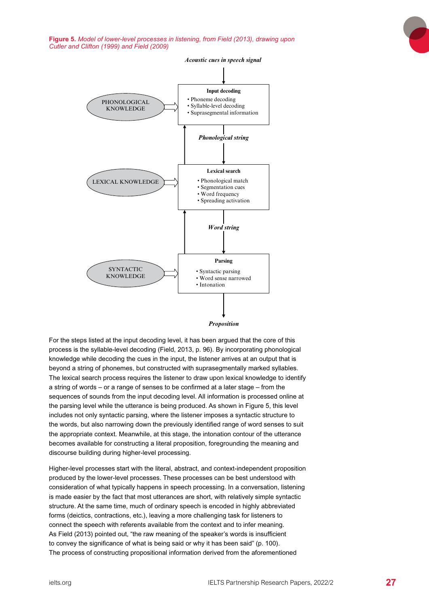<span id="page-26-0"></span>Figure 5. Model of lower-level processes in listening, from Field (2013), drawing upon **Cutler and Clifton (1999) and Field (2009)** 



*Proposition*

For the steps listed at the input decoding level, it has been argued that the core of this process is the syllable-level decoding (Field, 2013, p. 96). By incorporating phonological knowledge while decoding the cues in the input, the listener arrives at an output that is beyond a string of phonemes, but constructed with suprasegmentally marked syllables. The lexical search process requires the listener to draw upon lexical knowledge to identify a string of words – or a range of senses to be confirmed at a later stage – from the sequences of sounds from the input decoding level. All information is processed online at the parsing level while the utterance is being produced. As shown in Figure 5, this level includes not only syntactic parsing, where the listener imposes a syntactic structure to 97 the words, but also narrowing down the previously identified range of word senses to suit the appropriate context. Meanwhile, at this stage, the intonation contour of the utterance becomes available for constructing a literal proposition, foregrounding the meaning and discourse building during higher-level processing.

Higher-level processes start with the literal, abstract, and context-independent proposition produced by the lower-level processes. These processes can be best understood with consideration of what typically happens in speech processing. In a conversation, listening is made easier by the fact that most utterances are short, with relatively simple syntactic structure. At the same time, much of ordinary speech is encoded in highly abbreviated forms (deictics, contractions, etc.), leaving a more challenging task for listeners to connect the speech with referents available from the context and to infer meaning. As Field (2013) pointed out, "the raw meaning of the speaker's words is insufficient to convey the significance of what is being said or why it has been said" (p. 100). The process of constructing propositional information derived from the aforementioned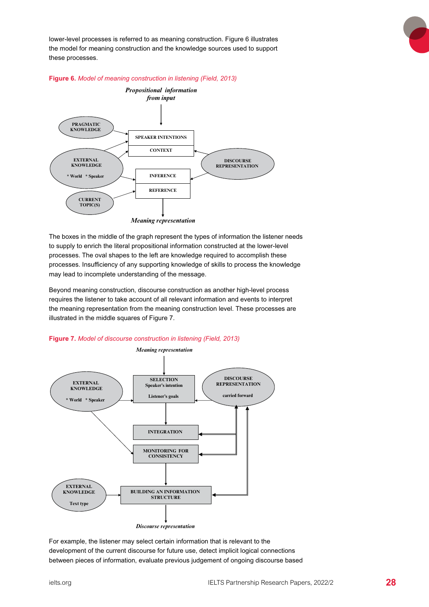<span id="page-27-0"></span>lower-level processes is referred to as meaning construction. Figure 6 illustrates the model for meaning construction and the knowledge sources used to support these processes. essarily separate in the secure in close construction. The construction operator in conduction – for example, <br>In close control of the control of the control of the control of the control of the control of the control of t





The boxes in the middle of the graph represent the types of information the listener needs to supply to enrich the literal propositional information constructed at the lower-level to supply to similar the literal propositional information sonstracted at the lower love.<br>processes. The oval shapes to the left are knowledge required to accomplish these processes. Insufficiency of any supporting knowledge of skills to process the knowledge may lead to incomplete understanding of the message.

Beyond meaning construction, discourse construction as another high-level process requires the listener to take account of all relevant information and events to interpret the meaning representation from the meaning construction level. These processes are illustrated in the middle squares of Figure 7.





For example, the listener may select certain information that is relevant to the refers the manner of the current discourse for future use, detect implicit logical connections development of the current discourse for future use, detect implicit logical connections development of the carrent discourse for fatule dse, detect implicit legical connections<br>between pieces of information, evaluate previous judgement of ongoing discourse based a much greater religionship and religionship was determined to perspect the perspective perspective perspectiv<br>Perspective perspective perspective perspective perspective perspective perspective perspective perspective pe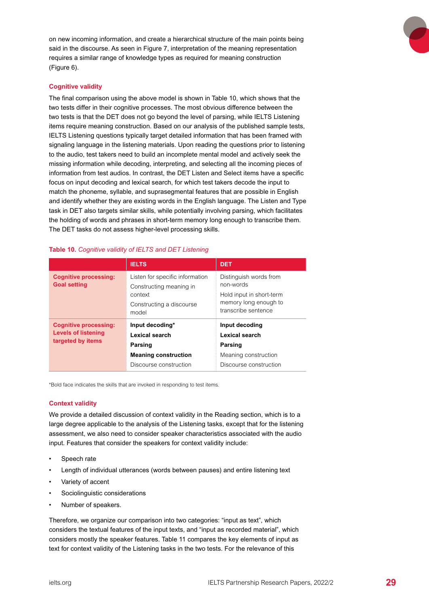<span id="page-28-0"></span>on new incoming information, and create a hierarchical structure of the main points being said in the discourse. As seen in Figure 7, interpretation of the meaning representation requires a similar range of knowledge types as required for meaning construction (Figure 6).

#### **Cognitive validity**

The final comparison using the above model is shown in Table 10, which shows that the two tests differ in their cognitive processes. The most obvious difference between the two tests is that the DET does not go beyond the level of parsing, while IELTS Listening items require meaning construction. Based on our analysis of the published sample tests, IELTS Listening questions typically target detailed information that has been framed with signaling language in the listening materials. Upon reading the questions prior to listening to the audio, test takers need to build an incomplete mental model and actively seek the missing information while decoding, interpreting, and selecting all the incoming pieces of information from test audios. In contrast, the DET Listen and Select items have a specific focus on input decoding and lexical search, for which test takers decode the input to match the phoneme, syllable, and suprasegmental features that are possible in English and identify whether they are existing words in the English language. The Listen and Type task in DET also targets similar skills, while potentially involving parsing, which facilitates the holding of words and phrases in short-term memory long enough to transcribe them. The DET tasks do not assess higher-level processing skills.

|                                                                                 | <b>IELTS</b>                                                                                               | <b>DET</b>                                                                                                      |
|---------------------------------------------------------------------------------|------------------------------------------------------------------------------------------------------------|-----------------------------------------------------------------------------------------------------------------|
| <b>Cognitive processing:</b><br><b>Goal setting</b>                             | Listen for specific information<br>Constructing meaning in<br>context<br>Constructing a discourse<br>model | Distinguish words from<br>non-words<br>Hold input in short-term<br>memory long enough to<br>transcribe sentence |
| <b>Cognitive processing:</b><br><b>Levels of listening</b><br>targeted by items | Input decoding*<br>Lexical search<br>Parsing<br><b>Meaning construction</b><br>Discourse construction      | Input decoding<br>Lexical search<br>Parsing<br>Meaning construction<br>Discourse construction                   |

#### **Table 10.** *Cognitive validity of IELTS and DET Listening*

\*Bold face indicates the skills that are invoked in responding to test items.

#### **Context validity**

We provide a detailed discussion of context validity in the Reading section, which is to a large degree applicable to the analysis of the Listening tasks, except that for the listening assessment, we also need to consider speaker characteristics associated with the audio input. Features that consider the speakers for context validity include:

- Speech rate
- Length of individual utterances (words between pauses) and entire listening text
- Variety of accent
- Sociolinguistic considerations
- Number of speakers.

Therefore, we organize our comparison into two categories: "input as text", which considers the textual features of the input texts, and "input as recorded material", which considers mostly the speaker features. Table 11 compares the key elements of input as text for context validity of the Listening tasks in the two tests. For the relevance of this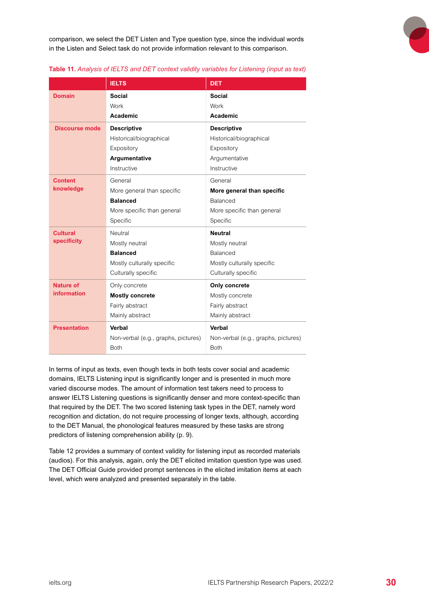<span id="page-29-0"></span>comparison, we select the DET Listen and Type question type, since the individual words in the Listen and Select task do not provide information relevant to this comparison.



#### **Table 11.** *Analysis of IELTS and DET context validity variables for Listening (input as text)*

|                       | <b>IELTS</b>                        | <b>DET</b>                          |
|-----------------------|-------------------------------------|-------------------------------------|
| <b>Domain</b>         | Social                              | Social                              |
|                       | Work                                | Work                                |
|                       | Academic                            | Academic                            |
| <b>Discourse mode</b> | <b>Descriptive</b>                  | <b>Descriptive</b>                  |
|                       | Historical/biographical             | Historical/biographical             |
|                       | Expository                          | Expository                          |
|                       | Argumentative                       | Argumentative                       |
|                       | Instructive                         | Instructive                         |
| <b>Content</b>        | General                             | General                             |
| knowledge             | More general than specific          | More general than specific          |
|                       | <b>Balanced</b>                     | <b>Balanced</b>                     |
|                       | More specific than general          | More specific than general          |
|                       | Specific                            | Specific                            |
| <b>Cultural</b>       | Neutral                             | <b>Neutral</b>                      |
| <b>specificity</b>    | Mostly neutral                      | Mostly neutral                      |
|                       | <b>Balanced</b>                     | Balanced                            |
|                       | Mostly culturally specific          | Mostly culturally specific          |
|                       | Culturally specific                 | Culturally specific                 |
| <b>Nature of</b>      | Only concrete                       | Only concrete                       |
| <b>information</b>    | <b>Mostly concrete</b>              | Mostly concrete                     |
|                       | Fairly abstract                     | Fairly abstract                     |
|                       | Mainly abstract                     | Mainly abstract                     |
| <b>Presentation</b>   | Verbal                              | Verbal                              |
|                       | Non-verbal (e.g., graphs, pictures) | Non-verbal (e.g., graphs, pictures) |
|                       | <b>Both</b>                         | <b>Both</b>                         |

In terms of input as texts, even though texts in both tests cover social and academic domains, IELTS Listening input is significantly longer and is presented in much more varied discourse modes. The amount of information test takers need to process to answer IELTS Listening questions is significantly denser and more context-specific than that required by the DET. The two scored listening task types in the DET, namely word recognition and dictation, do not require processing of longer texts, although, according to the DET Manual, the phonological features measured by these tasks are strong predictors of listening comprehension ability (p. 9).

Table 12 provides a summary of context validity for listening input as recorded materials (audios). For this analysis, again, only the DET elicited imitation question type was used. The DET Official Guide provided prompt sentences in the elicited imitation items at each level, which were analyzed and presented separately in the table.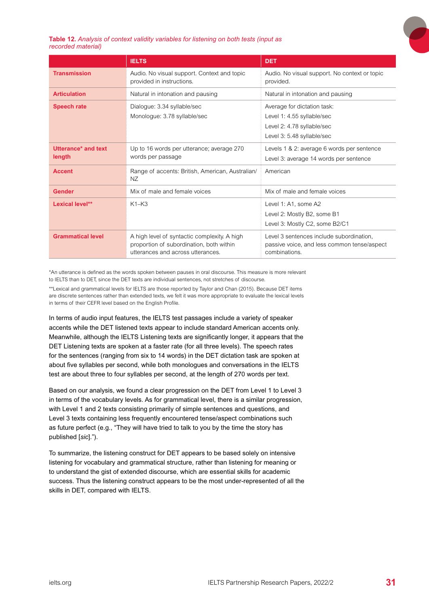

#### <span id="page-30-0"></span>**Table 12.** *Analysis of context validity variables for listening on both tests (input as recorded material)*

|                               | <b>IELTS</b>                                                                                                                  | <b>DET</b>                                                                                                            |
|-------------------------------|-------------------------------------------------------------------------------------------------------------------------------|-----------------------------------------------------------------------------------------------------------------------|
| <b>Transmission</b>           | Audio. No visual support. Context and topic<br>provided in instructions.                                                      | Audio. No visual support. No context or topic<br>provided.                                                            |
| <b>Articulation</b>           | Natural in intonation and pausing                                                                                             | Natural in intonation and pausing                                                                                     |
| <b>Speech rate</b>            | Dialogue: 3.34 syllable/sec<br>Monologue: 3.78 syllable/sec                                                                   | Average for dictation task:<br>Level 1: 4.55 syllable/sec<br>Level 2: 4.78 syllable/sec<br>Level 3: 5.48 syllable/sec |
| Utterance* and text<br>length | Up to 16 words per utterance; average 270<br>words per passage                                                                | Levels 1 & 2: average 6 words per sentence<br>Level 3: average 14 words per sentence                                  |
| <b>Accent</b>                 | Range of accents: British, American, Australian/<br>NZ                                                                        | American                                                                                                              |
| <b>Gender</b>                 | Mix of male and female voices                                                                                                 | Mix of male and female voices                                                                                         |
| Lexical level**               | $K1-K3$                                                                                                                       | Level 1: A1, some A2<br>Level 2: Mostly B2, some B1<br>Level 3: Mostly C2, some B2/C1                                 |
| <b>Grammatical level</b>      | A high level of syntactic complexity. A high<br>proportion of subordination, both within<br>utterances and across utterances. | Level 3 sentences include subordination.<br>passive voice, and less common tense/aspect<br>combinations.              |

\*An utterance is defined as the words spoken between pauses in oral discourse. This measure is more relevant to IELTS than to DET, since the DET texts are individual sentences, not stretches of discourse.

\*\*Lexical and grammatical levels for IELTS are those reported by Taylor and Chan (2015). Because DET items are discrete sentences rather than extended texts, we felt it was more appropriate to evaluate the lexical levels in terms of their CEFR level based on the English Profile.

In terms of audio input features, the IELTS test passages include a variety of speaker accents while the DET listened texts appear to include standard American accents only. Meanwhile, although the IELTS Listening texts are significantly longer, it appears that the DET Listening texts are spoken at a faster rate (for all three levels). The speech rates for the sentences (ranging from six to 14 words) in the DET dictation task are spoken at about five syllables per second, while both monologues and conversations in the IELTS test are about three to four syllables per second, at the length of 270 words per text.

Based on our analysis, we found a clear progression on the DET from Level 1 to Level 3 in terms of the vocabulary levels. As for grammatical level, there is a similar progression, with Level 1 and 2 texts consisting primarily of simple sentences and questions, and Level 3 texts containing less frequently encountered tense/aspect combinations such as future perfect (e.g., "They will have tried to talk to you by the time the story has published [*sic*].").

To summarize, the listening construct for DET appears to be based solely on intensive listening for vocabulary and grammatical structure, rather than listening for meaning or to understand the gist of extended discourse, which are essential skills for academic success. Thus the listening construct appears to be the most under-represented of all the skills in DET, compared with IELTS.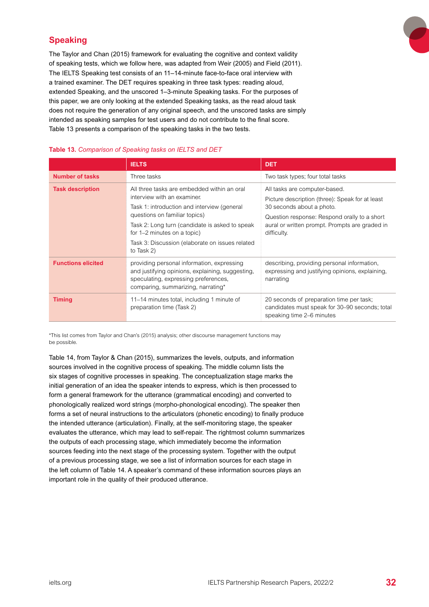## <span id="page-31-0"></span>**Speaking**

The Taylor and Chan (2015) framework for evaluating the cognitive and context validity of speaking tests, which we follow here, was adapted from Weir (2005) and Field (2011). The IELTS Speaking test consists of an 11–14-minute face-to-face oral interview with a trained examiner. The DET requires speaking in three task types: reading aloud, extended Speaking, and the unscored 1–3-minute Speaking tasks. For the purposes of this paper, we are only looking at the extended Speaking tasks, as the read aloud task does not require the generation of any original speech, and the unscored tasks are simply intended as speaking samples for test users and do not contribute to the final score. Table 13 presents a comparison of the speaking tasks in the two tests.

|                           | <b>IELTS</b>                                                                                                                                                                                                                                                                                                 | <b>DET</b>                                                                                                                                                                                                                     |
|---------------------------|--------------------------------------------------------------------------------------------------------------------------------------------------------------------------------------------------------------------------------------------------------------------------------------------------------------|--------------------------------------------------------------------------------------------------------------------------------------------------------------------------------------------------------------------------------|
| <b>Number of tasks</b>    | Three tasks                                                                                                                                                                                                                                                                                                  | Two task types; four total tasks                                                                                                                                                                                               |
| <b>Task description</b>   | All three tasks are embedded within an oral<br>interview with an examiner.<br>Task 1: introduction and interview (general<br>questions on familiar topics)<br>Task 2: Long turn (candidate is asked to speak<br>for 1–2 minutes on a topic)<br>Task 3: Discussion (elaborate on issues related<br>to Task 2) | All tasks are computer-based.<br>Picture description (three): Speak for at least<br>30 seconds about a photo.<br>Question response: Respond orally to a short<br>aural or written prompt. Prompts are graded in<br>difficulty. |
| <b>Functions elicited</b> | providing personal information, expressing<br>and justifying opinions, explaining, suggesting,<br>speculating, expressing preferences,<br>comparing, summarizing, narrating*                                                                                                                                 | describing, providing personal information,<br>expressing and justifying opinions, explaining,<br>narrating                                                                                                                    |
| <b>Timing</b>             | 11–14 minutes total, including 1 minute of<br>preparation time (Task 2)                                                                                                                                                                                                                                      | 20 seconds of preparation time per task;<br>candidates must speak for 30–90 seconds; total<br>speaking time 2–6 minutes                                                                                                        |

#### **Table 13.** *Comparison of Speaking tasks on IELTS and DET*

\*This list comes from Taylor and Chan's (2015) analysis; other discourse management functions may be possible.

Table 14, from Taylor & Chan (2015), summarizes the levels, outputs, and information sources involved in the cognitive process of speaking. The middle column lists the six stages of cognitive processes in speaking. The conceptualization stage marks the initial generation of an idea the speaker intends to express, which is then processed to form a general framework for the utterance (grammatical encoding) and converted to phonologically realized word strings (morpho-phonological encoding). The speaker then forms a set of neural instructions to the articulators (phonetic encoding) to finally produce the intended utterance (articulation). Finally, at the self-monitoring stage, the speaker evaluates the utterance, which may lead to self-repair. The rightmost column summarizes the outputs of each processing stage, which immediately become the information sources feeding into the next stage of the processing system. Together with the output of a previous processing stage, we see a list of information sources for each stage in the left column of Table 14. A speaker's command of these information sources plays an important role in the quality of their produced utterance.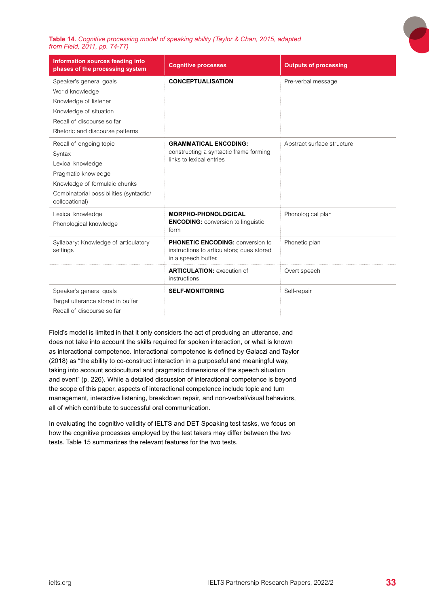<span id="page-32-0"></span>**Table 14.** *Cognitive processing model of speaking ability (Taylor & Chan, 2015, adapted from Field, 2011, pp. 74-77)*

| Information sources feeding into<br>phases of the processing system                                                                                                         | <b>Cognitive processes</b>                                                                                  | <b>Outputs of processing</b> |
|-----------------------------------------------------------------------------------------------------------------------------------------------------------------------------|-------------------------------------------------------------------------------------------------------------|------------------------------|
| Speaker's general goals<br>World knowledge<br>Knowledge of listener<br>Knowledge of situation<br>Recall of discourse so far<br>Rhetoric and discourse patterns              | <b>CONCEPTUALISATION</b>                                                                                    | Pre-verbal message           |
| Recall of ongoing topic<br>Syntax<br>Lexical knowledge<br>Pragmatic knowledge<br>Knowledge of formulaic chunks<br>Combinatorial possibilities (syntactic/<br>collocational) | <b>GRAMMATICAL ENCODING:</b><br>constructing a syntactic frame forming<br>links to lexical entries          | Abstract surface structure   |
| Lexical knowledge<br>Phonological knowledge                                                                                                                                 | <b>MORPHO-PHONOLOGICAL</b><br><b>ENCODING:</b> conversion to linguistic<br>form                             | Phonological plan            |
| Syllabary: Knowledge of articulatory<br>settings                                                                                                                            | <b>PHONETIC ENCODING: conversion to</b><br>instructions to articulators; cues stored<br>in a speech buffer. | Phonetic plan                |
|                                                                                                                                                                             | <b>ARTICULATION: execution of</b><br>instructions                                                           | Overt speech                 |
| Speaker's general goals<br>Target utterance stored in buffer<br>Recall of discourse so far                                                                                  | <b>SELF-MONITORING</b>                                                                                      | Self-repair                  |

Field's model is limited in that it only considers the act of producing an utterance, and does not take into account the skills required for spoken interaction, or what is known as interactional competence. Interactional competence is defined by Galaczi and Taylor (2018) as "the ability to co-construct interaction in a purposeful and meaningful way, taking into account sociocultural and pragmatic dimensions of the speech situation and event" (p. 226). While a detailed discussion of interactional competence is beyond the scope of this paper, aspects of interactional competence include topic and turn management, interactive listening, breakdown repair, and non-verbal/visual behaviors, all of which contribute to successful oral communication.

In evaluating the cognitive validity of IELTS and DET Speaking test tasks, we focus on how the cognitive processes employed by the test takers may differ between the two tests. Table 15 summarizes the relevant features for the two tests.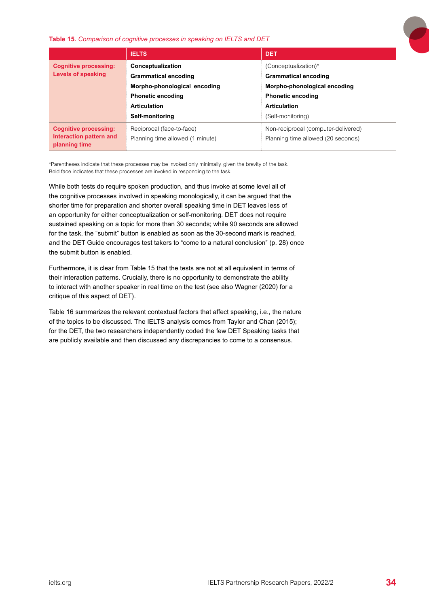#### <span id="page-33-0"></span>**Table 15.** *Comparison of cognitive processes in speaking on IELTS and DET*



|                                          | <b>IELTS</b>                     | <b>DET</b>                          |
|------------------------------------------|----------------------------------|-------------------------------------|
| <b>Cognitive processing:</b>             | Conceptualization                | (Conceptualization)*                |
| Levels of speaking                       | <b>Grammatical encoding</b>      | <b>Grammatical encoding</b>         |
|                                          | Morpho-phonological encoding     | Morpho-phonological encoding        |
|                                          | <b>Phonetic encoding</b>         | <b>Phonetic encoding</b>            |
|                                          | <b>Articulation</b>              | <b>Articulation</b>                 |
|                                          | Self-monitoring                  | (Self-monitoring)                   |
| <b>Cognitive processing:</b>             | Reciprocal (face-to-face)        | Non-reciprocal (computer-delivered) |
| Interaction pattern and<br>planning time | Planning time allowed (1 minute) | Planning time allowed (20 seconds)  |

\*Parentheses indicate that these processes may be invoked only minimally, given the brevity of the task. Bold face indicates that these processes are invoked in responding to the task.

While both tests do require spoken production, and thus invoke at some level all of the cognitive processes involved in speaking monologically, it can be argued that the shorter time for preparation and shorter overall speaking time in DET leaves less of an opportunity for either conceptualization or self-monitoring. DET does not require sustained speaking on a topic for more than 30 seconds; while 90 seconds are allowed for the task, the "submit" button is enabled as soon as the 30-second mark is reached, and the DET Guide encourages test takers to "come to a natural conclusion" (p. 28) once the submit button is enabled.

Furthermore, it is clear from Table 15 that the tests are not at all equivalent in terms of their interaction patterns. Crucially, there is no opportunity to demonstrate the ability to interact with another speaker in real time on the test (see also Wagner (2020) for a critique of this aspect of DET).

Table 16 summarizes the relevant contextual factors that affect speaking, i.e., the nature of the topics to be discussed. The IELTS analysis comes from Taylor and Chan (2015); for the DET, the two researchers independently coded the few DET Speaking tasks that are publicly available and then discussed any discrepancies to come to a consensus.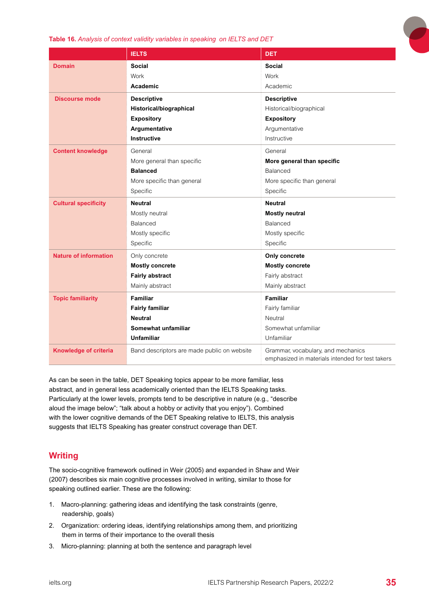#### <span id="page-34-0"></span>**Table 16.** *Analysis of context validity variables in speaking on IELTS and DET*

|                              | <b>IELTS</b>                                | <b>DET</b>                                                                             |
|------------------------------|---------------------------------------------|----------------------------------------------------------------------------------------|
| <b>Domain</b>                | <b>Social</b>                               | <b>Social</b>                                                                          |
|                              | Work                                        | Work                                                                                   |
|                              | Academic                                    | Academic                                                                               |
| <b>Discourse mode</b>        | <b>Descriptive</b>                          | <b>Descriptive</b>                                                                     |
|                              | Historical/biographical                     | Historical/biographical                                                                |
|                              | <b>Expository</b>                           | <b>Expository</b>                                                                      |
|                              | Argumentative                               | Argumentative                                                                          |
|                              | <b>Instructive</b>                          | Instructive                                                                            |
| <b>Content knowledge</b>     | General                                     | General                                                                                |
|                              | More general than specific                  | More general than specific                                                             |
|                              | <b>Balanced</b>                             | Balanced                                                                               |
|                              | More specific than general                  | More specific than general                                                             |
|                              | Specific                                    | Specific                                                                               |
| <b>Cultural specificity</b>  | <b>Neutral</b>                              | <b>Neutral</b>                                                                         |
|                              | Mostly neutral                              | <b>Mostly neutral</b>                                                                  |
|                              | Balanced                                    | Balanced                                                                               |
|                              | Mostly specific                             | Mostly specific                                                                        |
|                              | Specific                                    | Specific                                                                               |
| <b>Nature of information</b> | Only concrete                               | Only concrete                                                                          |
|                              | <b>Mostly concrete</b>                      | <b>Mostly concrete</b>                                                                 |
|                              | <b>Fairly abstract</b>                      | Fairly abstract                                                                        |
|                              | Mainly abstract                             | Mainly abstract                                                                        |
| <b>Topic familiarity</b>     | <b>Familiar</b>                             | <b>Familiar</b>                                                                        |
|                              | <b>Fairly familiar</b>                      | Fairly familiar                                                                        |
|                              | <b>Neutral</b>                              | Neutral                                                                                |
|                              | Somewhat unfamiliar                         | Somewhat unfamiliar                                                                    |
|                              | <b>Unfamiliar</b>                           | Unfamiliar                                                                             |
| <b>Knowledge of criteria</b> | Band descriptors are made public on website | Grammar, vocabulary, and mechanics<br>emphasized in materials intended for test takers |

As can be seen in the table, DET Speaking topics appear to be more familiar, less abstract, and in general less academically oriented than the IELTS Speaking tasks. Particularly at the lower levels, prompts tend to be descriptive in nature (e.g., "describe aloud the image below"; "talk about a hobby or activity that you enjoy"). Combined with the lower cognitive demands of the DET Speaking relative to IELTS, this analysis suggests that IELTS Speaking has greater construct coverage than DET.

## **Writing**

The socio-cognitive framework outlined in Weir (2005) and expanded in Shaw and Weir (2007) describes six main cognitive processes involved in writing, similar to those for speaking outlined earlier. These are the following:

- 1. Macro-planning: gathering ideas and identifying the task constraints (genre, readership, goals)
- 2. Organization: ordering ideas, identifying relationships among them, and prioritizing them in terms of their importance to the overall thesis
- 3. Micro-planning: planning at both the sentence and paragraph level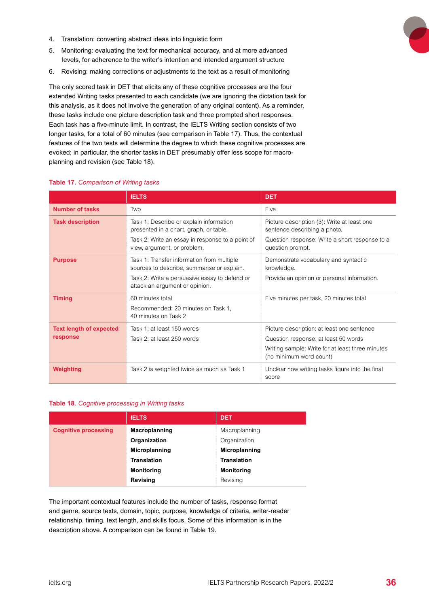- <span id="page-35-0"></span>4. Translation: converting abstract ideas into linguistic form
- 5. Monitoring: evaluating the text for mechanical accuracy, and at more advanced levels, for adherence to the writer's intention and intended argument structure
- 6. Revising: making corrections or adjustments to the text as a result of monitoring

The only scored task in DET that elicits any of these cognitive processes are the four extended Writing tasks presented to each candidate (we are ignoring the dictation task for this analysis, as it does not involve the generation of any original content). As a reminder, these tasks include one picture description task and three prompted short responses. Each task has a five-minute limit. In contrast, the IELTS Writing section consists of two longer tasks, for a total of 60 minutes (see comparison in Table 17). Thus, the contextual features of the two tests will determine the degree to which these cognitive processes are evoked; in particular, the shorter tasks in DET presumably offer less scope for macroplanning and revision (see Table 18).

|                                | <b>IELTS</b>                                                                                                                              | <b>DET</b>                                                                                        |
|--------------------------------|-------------------------------------------------------------------------------------------------------------------------------------------|---------------------------------------------------------------------------------------------------|
| <b>Number of tasks</b>         | Two                                                                                                                                       | Five                                                                                              |
| <b>Task description</b>        | Task 1: Describe or explain information<br>presented in a chart, graph, or table.                                                         | Picture description (3): Write at least one<br>sentence describing a photo.                       |
|                                | Task 2: Write an essay in response to a point of<br>view, argument, or problem.                                                           | Question response: Write a short response to a<br>question prompt.                                |
| <b>Purpose</b>                 | Task 1: Transfer information from multiple<br>sources to describe, summarise or explain.<br>Task 2: Write a persuasive essay to defend or | Demonstrate vocabulary and syntactic<br>knowledge.<br>Provide an opinion or personal information. |
|                                | attack an argument or opinion.                                                                                                            |                                                                                                   |
| <b>Timing</b>                  | 60 minutes total<br>Recommended: 20 minutes on Task 1.<br>40 minutes on Task 2                                                            | Five minutes per task, 20 minutes total                                                           |
| <b>Text length of expected</b> | Task 1: at least 150 words                                                                                                                | Picture description: at least one sentence                                                        |
| response                       | Task 2: at least 250 words                                                                                                                | Question response: at least 50 words                                                              |
|                                |                                                                                                                                           | Writing sample: Write for at least three minutes<br>(no minimum word count)                       |
| Weighting                      | Task 2 is weighted twice as much as Task 1                                                                                                | Unclear how writing tasks figure into the final<br>score                                          |

#### **Table 17.** *Comparison of Writing tasks*

#### **Table 18.** *Cognitive processing in Writing tasks*

|                             | <b>IELTS</b>       | <b>DET</b>           |
|-----------------------------|--------------------|----------------------|
| <b>Cognitive processing</b> | Macroplanning      | Macroplanning        |
|                             | Organization       | Organization         |
|                             | Microplanning      | <b>Microplanning</b> |
|                             | <b>Translation</b> | <b>Translation</b>   |
|                             | <b>Monitoring</b>  | <b>Monitoring</b>    |
|                             | <b>Revising</b>    | Revising             |

The important contextual features include the number of tasks, response format and genre, source texts, domain, topic, purpose, knowledge of criteria, writer-reader relationship, timing, text length, and skills focus. Some of this information is in the description above. A comparison can be found in Table 19.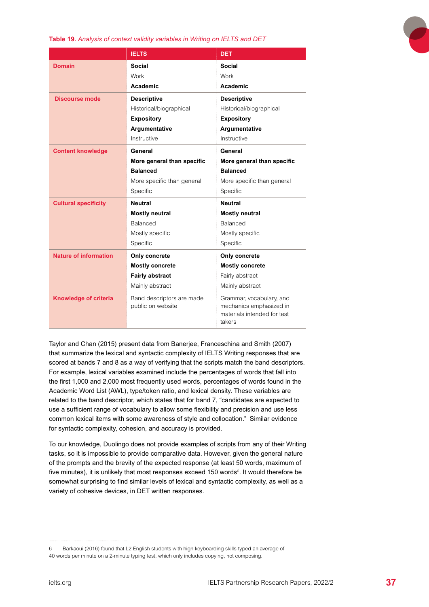<span id="page-36-0"></span>**Table 19.** *Analysis of context validity variables in Writing on IELTS and DET*

|                              | <b>IELTS</b>                                   | <b>DET</b>                                                                                   |
|------------------------------|------------------------------------------------|----------------------------------------------------------------------------------------------|
| <b>Domain</b>                | Social                                         | Social                                                                                       |
|                              | Work                                           | Work                                                                                         |
|                              | Academic                                       | Academic                                                                                     |
| Discourse mode               | <b>Descriptive</b>                             | <b>Descriptive</b>                                                                           |
|                              | Historical/biographical                        | Historical/biographical                                                                      |
|                              | <b>Expository</b>                              | <b>Expository</b>                                                                            |
|                              | Argumentative                                  | Argumentative                                                                                |
|                              | Instructive                                    | Instructive                                                                                  |
| <b>Content knowledge</b>     | General                                        | General                                                                                      |
|                              | More general than specific                     | More general than specific                                                                   |
|                              | <b>Balanced</b>                                | <b>Balanced</b>                                                                              |
|                              | More specific than general                     | More specific than general                                                                   |
|                              | Specific                                       | Specific                                                                                     |
| <b>Cultural specificity</b>  | <b>Neutral</b>                                 | <b>Neutral</b>                                                                               |
|                              | <b>Mostly neutral</b>                          | <b>Mostly neutral</b>                                                                        |
|                              | <b>Balanced</b>                                | <b>Balanced</b>                                                                              |
|                              | Mostly specific                                | Mostly specific                                                                              |
|                              | Specific                                       | Specific                                                                                     |
| <b>Nature of information</b> | Only concrete                                  | Only concrete                                                                                |
|                              | <b>Mostly concrete</b>                         | <b>Mostly concrete</b>                                                                       |
|                              | <b>Fairly abstract</b>                         | Fairly abstract                                                                              |
|                              | Mainly abstract                                | Mainly abstract                                                                              |
| <b>Knowledge of criteria</b> | Band descriptors are made<br>public on website | Grammar, vocabulary, and<br>mechanics emphasized in<br>materials intended for test<br>takers |

Taylor and Chan (2015) present data from Banerjee, Franceschina and Smith (2007) that summarize the lexical and syntactic complexity of IELTS Writing responses that are scored at bands 7 and 8 as a way of verifying that the scripts match the band descriptors. For example, lexical variables examined include the percentages of words that fall into the first 1,000 and 2,000 most frequently used words, percentages of words found in the Academic Word List (AWL), type/token ratio, and lexical density. These variables are related to the band descriptor, which states that for band 7, "candidates are expected to use a sufficient range of vocabulary to allow some flexibility and precision and use less common lexical items with some awareness of style and collocation." Similar evidence for syntactic complexity, cohesion, and accuracy is provided.

To our knowledge, Duolingo does not provide examples of scripts from any of their Writing tasks, so it is impossible to provide comparative data. However, given the general nature of the prompts and the brevity of the expected response (at least 50 words, maximum of five minutes), it is unlikely that most responses exceed 150 words<sup>6</sup>. It would therefore be somewhat surprising to find similar levels of lexical and syntactic complexity, as well as a variety of cohesive devices, in DET written responses.

<sup>6</sup> Barkaoui (2016) found that L2 English students with high keyboarding skills typed an average of 40 words per minute on a 2-minute typing test, which only includes copying, not composing.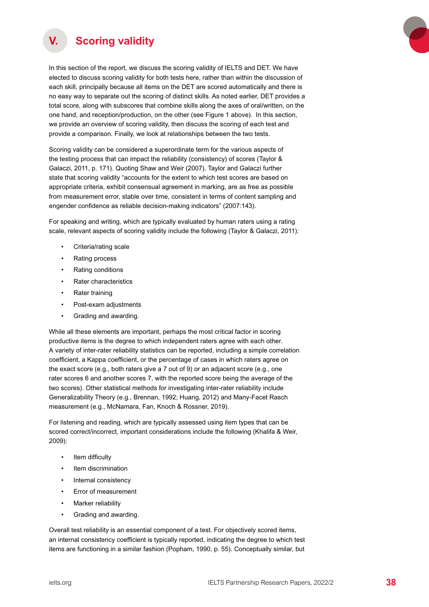<span id="page-37-0"></span>

## **V. Scoring validity**

In this section of the report, we discuss the scoring validity of IELTS and DET. We have elected to discuss scoring validity for both tests here, rather than within the discussion of each skill, principally because all items on the DET are scored automatically and there is no easy way to separate out the scoring of distinct skills. As noted earlier, DET provides a total score, along with subscores that combine skills along the axes of oral/written, on the one hand, and reception/production, on the other (see Figure 1 above). In this section, we provide an overview of scoring validity, then discuss the scoring of each test and provide a comparison. Finally, we look at relationships between the two tests.

Scoring validity can be considered a superordinate term for the various aspects of the testing process that can impact the reliability (consistency) of scores (Taylor & Galaczi, 2011, p. 171). Quoting Shaw and Weir (2007), Taylor and Galaczi further state that scoring validity "accounts for the extent to which test scores are based on appropriate criteria, exhibit consensual agreement in marking, are as free as possible from measurement error, stable over time, consistent in terms of content sampling and engender confidence as reliable decision-making indicators" (2007:143).

For speaking and writing, which are typically evaluated by human raters using a rating scale, relevant aspects of scoring validity include the following (Taylor & Galaczi, 2011):

- Criteria/rating scale
- Rating process
- Rating conditions
- Rater characteristics
- Rater training
- Post-exam adjustments
- Grading and awarding.

While all these elements are important, perhaps the most critical factor in scoring productive items is the degree to which independent raters agree with each other. A variety of inter-rater reliability statistics can be reported, including a simple correlation coefficient, a Kappa coefficient, or the percentage of cases in which raters agree on the exact score (e.g., both raters give a 7 out of 9) or an adjacent score (e.g., one rater scores 6 and another scores 7, with the reported score being the average of the two scores). Other statistical methods for investigating inter-rater reliability include Generalizability Theory (e.g., Brennan, 1992; Huang, 2012) and Many-Facet Rasch measurement (e.g., McNamara, Fan, Knoch & Rossner, 2019).

For listening and reading, which are typically assessed using item types that can be scored correct/incorrect, important considerations include the following (Khalifa & Weir, 2009):

- Item difficulty
- Item discrimination
- Internal consistency
- Error of measurement
- Marker reliability
- Grading and awarding.

Overall test reliability is an essential component of a test. For objectively scored items, an internal consistency coefficient is typically reported, indicating the degree to which test items are functioning in a similar fashion (Popham, 1990, p. 55). Conceptually similar, but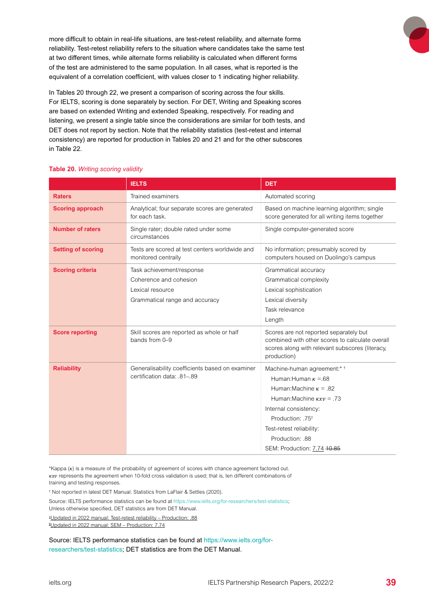<span id="page-38-0"></span>more difficult to obtain in real-life situations, are test-retest reliability, and alternate forms reliability. Test-retest reliability refers to the situation where candidates take the same test at two different times, while alternate forms reliability is calculated when different forms of the test are administered to the same population. In all cases, what is reported is the equivalent of a correlation coefficient, with values closer to 1 indicating higher reliability.

In Tables 20 through 22, we present a comparison of scoring across the four skills. For IELTS, scoring is done separately by section. For DET, Writing and Speaking scores are based on extended Writing and extended Speaking, respectively. For reading and listening, we present a single table since the considerations are similar for both tests, and DET does not report by section. Note that the reliability statistics (test-retest and internal consistency) are reported for production in Tables 20 and 21 and for the other subscores in Table 22.

#### **Table 20.** *Writing scoring validity*

|                           | <b>IELTS</b>                                                          | <b>DET</b>                                                                                                                                                  |
|---------------------------|-----------------------------------------------------------------------|-------------------------------------------------------------------------------------------------------------------------------------------------------------|
| <b>Raters</b>             | <b>Trained examiners</b>                                              | Automated scoring                                                                                                                                           |
| <b>Scoring approach</b>   | Analytical; four separate scores are generated<br>for each task.      | Based on machine learning algorithm; single<br>score generated for all writing items together                                                               |
| <b>Number of raters</b>   | Single rater; double rated under some<br>circumstances                | Single computer-generated score                                                                                                                             |
| <b>Setting of scoring</b> | Tests are scored at test centers worldwide and<br>monitored centrally | No information; presumably scored by<br>computers housed on Duolingo's campus                                                                               |
| <b>Scoring criteria</b>   | Task achievement/response                                             | Grammatical accuracy                                                                                                                                        |
|                           | Coherence and cohesion                                                | Grammatical complexity                                                                                                                                      |
|                           | Lexical resource                                                      | Lexical sophistication                                                                                                                                      |
|                           | Grammatical range and accuracy                                        | Lexical diversity                                                                                                                                           |
|                           |                                                                       | Task relevance                                                                                                                                              |
|                           |                                                                       | Length                                                                                                                                                      |
| <b>Score reporting</b>    | Skill scores are reported as whole or half<br>bands from 0-9          | Scores are not reported separately but<br>combined with other scores to calculate overall<br>scores along with relevant subscores (literacy,<br>production) |
| <b>Reliability</b>        | Generalisability coefficients based on examiner                       | Machine-human agreement:* +                                                                                                                                 |
|                           | certification data: .81-.89                                           | Human: Human $\kappa = 68$                                                                                                                                  |
|                           |                                                                       | Human: Machine $\kappa = .82$                                                                                                                               |
|                           |                                                                       | Human: Machine $kxy = .73$                                                                                                                                  |
|                           |                                                                       | Internal consistency:                                                                                                                                       |
|                           |                                                                       | Production: .75 <sup>+</sup>                                                                                                                                |
|                           |                                                                       | Test-retest reliability:                                                                                                                                    |
|                           |                                                                       | Production: .88                                                                                                                                             |
|                           |                                                                       | SEM: Production: 7.74 40.85                                                                                                                                 |

\*Kappa  $(k)$  is a measure of the probability of agreement of scores with chance agreement factored out.  $\kappa x v$  represents the agreement when 10-fold cross validation is used; that is, ten different combinations of training and testing responses.

† Not reported in latest DET Manual. Statistics from LaFlair & Settles (2020).

Source: IELTS performance statistics can be found at https://www.ielts.org/for-researchers/test-statistics; Unless otherwise specified, DET statistics are from DET Manual.

† Updated in 2022 manual: Test-retest reliability – Production: .88 § Updated in 2022 manual: SEM – Production: 7.74

Source: IELTS performance statistics can be found at [https://www.ielts.org/for](https://www.ielts.org/for-researchers/test-statistics)[researchers/test-statistics](https://www.ielts.org/for-researchers/test-statistics); DET statistics are from the DET Manual.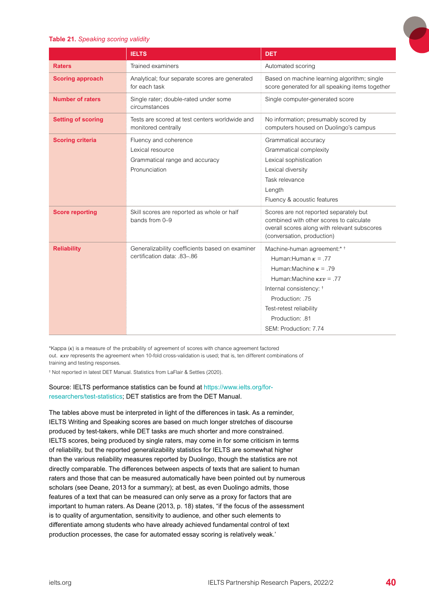#### <span id="page-39-0"></span>**Table 21.** *Speaking scoring validity*

|                           | <b>IELTS</b>                                                                                 | <b>DET</b>                                                                                                                                                                                                                                                |
|---------------------------|----------------------------------------------------------------------------------------------|-----------------------------------------------------------------------------------------------------------------------------------------------------------------------------------------------------------------------------------------------------------|
| <b>Raters</b>             | Trained examiners                                                                            | Automated scoring                                                                                                                                                                                                                                         |
| <b>Scoring approach</b>   | Analytical; four separate scores are generated<br>for each task                              | Based on machine learning algorithm; single<br>score generated for all speaking items together                                                                                                                                                            |
| <b>Number of raters</b>   | Single rater; double-rated under some<br>circumstances                                       | Single computer-generated score                                                                                                                                                                                                                           |
| <b>Setting of scoring</b> | Tests are scored at test centers worldwide and<br>monitored centrally                        | No information; presumably scored by<br>computers housed on Duolingo's campus                                                                                                                                                                             |
| <b>Scoring criteria</b>   | Fluency and coherence<br>Lexical resource<br>Grammatical range and accuracy<br>Pronunciation | Grammatical accuracy<br>Grammatical complexity<br>Lexical sophistication<br>Lexical diversity<br>Task relevance<br>Length<br>Fluency & acoustic features                                                                                                  |
| <b>Score reporting</b>    | Skill scores are reported as whole or half<br>bands from 0-9                                 | Scores are not reported separately but<br>combined with other scores to calculate<br>overall scores along with relevant subscores<br>(conversation, production)                                                                                           |
| <b>Reliability</b>        | Generalizability coefficients based on examiner<br>certification data: .83-.86               | Machine-human agreement:* +<br>Human: Human $\kappa = .77$<br>Human: Machine $\kappa$ = .79<br>Human: Machine $kxy = .77$<br>Internal consistency: <sup>†</sup><br>Production: .75<br>Test-retest reliability<br>Production: .81<br>SEM: Production: 7.74 |

\*Kappa  $(k)$  is a measure of the probability of agreement of scores with chance agreement factored out.  $kxv$  represents the agreement when 10-fold cross-validation is used; that is, ten different combinations of training and testing responses.

† Not reported in latest DET Manual. Statistics from LaFlair & Settles (2020).

#### Source: IELTS performance statistics can be found at https://www.ielts.org/forresearchers/test-statistics; DET statistics are from the DET Manual.

The tables above must be interpreted in light of the differences in task. As a reminder, IELTS Writing and Speaking scores are based on much longer stretches of discourse produced by test-takers, while DET tasks are much shorter and more constrained. IELTS scores, being produced by single raters, may come in for some criticism in terms of reliability, but the reported generalizability statistics for IELTS are somewhat higher than the various reliability measures reported by Duolingo, though the statistics are not directly comparable. The differences between aspects of texts that are salient to human raters and those that can be measured automatically have been pointed out by numerous scholars (see Deane, 2013 for a summary); at best, as even Duolingo admits, those features of a text that can be measured can only serve as a proxy for factors that are important to human raters. As Deane (2013, p. 18) states, "if the focus of the assessment is to quality of argumentation, sensitivity to audience, and other such elements to differentiate among students who have already achieved fundamental control of text production processes, the case for automated essay scoring is relatively weak.'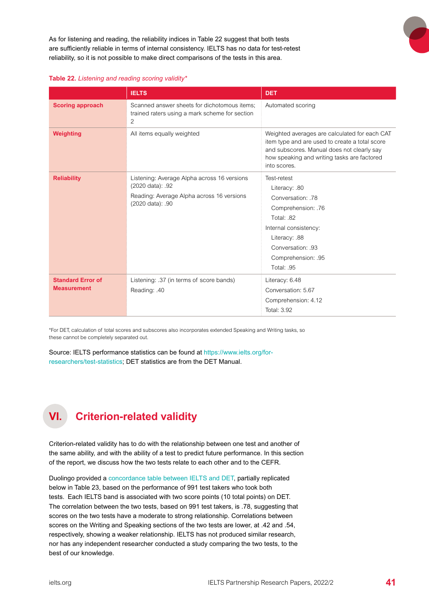<span id="page-40-0"></span>As for listening and reading, the reliability indices in Table 22 suggest that both tests are sufficiently reliable in terms of internal consistency. IELTS has no data for test-retest reliability, so it is not possible to make direct comparisons of the tests in this area.

|  | Table 22. Listening and reading scoring validity* |  |  |  |
|--|---------------------------------------------------|--|--|--|
|  |                                                   |  |  |  |

|                                                | <b>IELTS</b>                                                                                                                     | <b>DET</b>                                                                                                                                                                                                   |  |  |
|------------------------------------------------|----------------------------------------------------------------------------------------------------------------------------------|--------------------------------------------------------------------------------------------------------------------------------------------------------------------------------------------------------------|--|--|
| <b>Scoring approach</b>                        | Scanned answer sheets for dichotomous items;<br>trained raters using a mark scheme for section<br>2                              | Automated scoring                                                                                                                                                                                            |  |  |
| Weighting                                      | All items equally weighted                                                                                                       | Weighted averages are calculated for each CAT<br>item type and are used to create a total score<br>and subscores. Manual does not clearly say<br>how speaking and writing tasks are factored<br>into scores. |  |  |
| <b>Reliability</b>                             | Listening: Average Alpha across 16 versions<br>(2020 data): .92<br>Reading: Average Alpha across 16 versions<br>(2020 data): .90 | Test-retest<br>Literacy: .80<br>Conversation: 78<br>Comprehension: .76<br>Total: 82<br>Internal consistency:<br>Literacy: .88<br>Conversation: 93<br>Comprehension: .95<br>Total: .95                        |  |  |
| <b>Standard Error of</b><br><b>Measurement</b> | Listening: .37 (in terms of score bands)<br>Reading: .40                                                                         | Literacy: 6.48<br>Conversation: 5.67<br>Comprehension: 4.12<br>Total: 3.92                                                                                                                                   |  |  |

\*For DET, calculation of total scores and subscores also incorporates extended Speaking and Writing tasks, so these cannot be completely separated out.

Source: IELTS performance statistics can be found at [https://www.ielts.org/for](https://www.ielts.org/for-researchers/test-statistics)[researchers/test-statistics](https://www.ielts.org/for-researchers/test-statistics); DET statistics are from the DET Manual.

# **VI. Criterion-related validity**

Criterion-related validity has to do with the relationship between one test and another of the same ability, and with the ability of a test to predict future performance. In this section of the report, we discuss how the two tests relate to each other and to the CEFR.

Duolingo provided a [concordance table between IELTS and DET](https://englishtest.duolingo.com/scores), partially replicated below in Table 23, based on the performance of 991 test takers who took both tests. Each IELTS band is associated with two score points (10 total points) on DET. The correlation between the two tests, based on 991 test takers, is .78, suggesting that scores on the two tests have a moderate to strong relationship. Correlations between scores on the Writing and Speaking sections of the two tests are lower, at .42 and .54, respectively, showing a weaker relationship. IELTS has not produced similar research, nor has any independent researcher conducted a study comparing the two tests, to the best of our knowledge.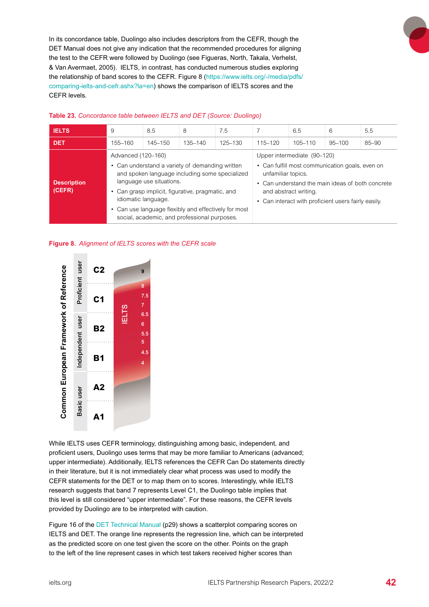<span id="page-41-0"></span>In its concordance table, Duolingo also includes descriptors from the CEFR, though the DET Manual does not give any indication that the recommended procedures for aligning the test to the CEFR were followed by Duolingo (see Figueras, North, Takala, Verhelst, & Van Avermaet, 2005). IELTS, in contrast, has conducted numerous studies exploring the relationship of band scores to the CEFR. Figure 8 [\(https://www.ielts.org/-/media/pdfs/](https://www.ielts.org/-/media/pdfs/comparing-ielts-and-cefr.ashx?la=en) [comparing-ielts-and-cefr.ashx?la=en](https://www.ielts.org/-/media/pdfs/comparing-ielts-and-cefr.ashx?la=en)) shows the comparison of IELTS scores and the CEFR levels.

| <b>IELTS</b>                 | 9                                                                                                                                                                                                                                                                                                                                      | 8.5     | 8       | 7.5                                                                                                                                                                                                                                      |             | 6.5         | 6          | 5.5   |
|------------------------------|----------------------------------------------------------------------------------------------------------------------------------------------------------------------------------------------------------------------------------------------------------------------------------------------------------------------------------------|---------|---------|------------------------------------------------------------------------------------------------------------------------------------------------------------------------------------------------------------------------------------------|-------------|-------------|------------|-------|
| <b>DET</b>                   | 155-160                                                                                                                                                                                                                                                                                                                                | 145–150 | 135–140 | 125–130                                                                                                                                                                                                                                  | $115 - 120$ | $105 - 110$ | $95 - 100$ | 85-90 |
| <b>Description</b><br>(CEFR) | Advanced (120-160)<br>• Can understand a variety of demanding written<br>and spoken language including some specialized<br>language use situations.<br>• Can grasp implicit, figurative, pragmatic, and<br>idiomatic language.<br>• Can use language flexibly and effectively for most<br>social, academic, and professional purposes. |         |         | Upper intermediate (90-120)<br>• Can fulfill most communication goals, even on<br>unfamiliar topics.<br>• Can understand the main ideas of both concrete<br>and abstract writing.<br>• Can interact with proficient users fairly easily. |             |             |            |       |

#### **Table 23.** *Concordance table between IELTS and DET (Source: Duolingo)*

#### **Figure 8.** *Alignment of IELTS scores with the CEFR scale*



While IELTS uses CEFR terminology, distinguishing among basic, independent, and proficient users, Duolingo uses terms that may be more familiar to Americans (advanced; upper intermediate). Additionally, IELTS references the CEFR Can Do statements directly in their literature, but it is not immediately clear what process was used to modify the CEFR statements for the DET or to map them on to scores. Interestingly, while IELTS research suggests that band 7 represents Level C1, the Duolingo table implies that this level is still considered "upper intermediate". For these reasons, the CEFR levels provided by Duolingo are to be interpreted with caution.

Figure 16 of the [DET Technical Manual](https://duolingo-papers.s3.amazonaws.com/other/det-technical-manual-current.pdf) (p29) shows a scatterplot comparing scores on IELTS and DET. The orange line represents the regression line, which can be interpreted as the predicted score on one test given the score on the other. Points on the graph to the left of the line represent cases in which test takers received higher scores than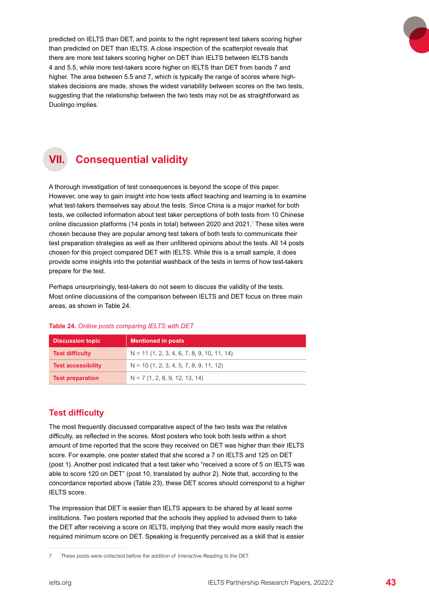<span id="page-42-0"></span>predicted on IELTS than DET, and points to the right represent test takers scoring higher than predicted on DET than IELTS. A close inspection of the scatterplot reveals that there are more test takers scoring higher on DET than IELTS between IELTS bands 4 and 5.5, while more test-takers score higher on IELTS than DET from bands 7 and higher. The area between 5.5 and 7, which is typically the range of scores where highstakes decisions are made, shows the widest variability between scores on the two tests, suggesting that the relationship between the two tests may not be as straightforward as Duolingo implies.



# **VII. Consequential validity**

A thorough investigation of test consequences is beyond the scope of this paper. However, one way to gain insight into how tests affect teaching and learning is to examine what test-takers themselves say about the tests. Since China is a major market for both tests, we collected information about test taker perceptions of both tests from 10 Chinese online discussion platforms (14 posts in total) between 2020 and 2021. $^7$  These sites were chosen because they are popular among test takers of both tests to communicate their test preparation strategies as well as their unfiltered opinions about the tests. All 14 posts chosen for this project compared DET with IELTS. While this is a small sample, it does provide some insights into the potential washback of the tests in terms of how test-takers prepare for the test.

Perhaps unsurprisingly, test-takers do not seem to discuss the validity of the tests. Most online discussions of the comparison between IELTS and DET focus on three main areas, as shown in Table 24.

| <b>Discussion topic</b>   | <b>Mentioned in posts</b>                     |
|---------------------------|-----------------------------------------------|
| <b>Test difficulty</b>    | $N = 11$ (1, 2, 3, 4, 6, 7, 8, 9, 10, 11, 14) |
| <b>Test accessibility</b> | $N = 10$ (1, 2, 3, 4, 5, 7, 8, 9, 11, 12)     |
| <b>Test preparation</b>   | $N = 7(1, 2, 8, 9, 12, 13, 14)$               |

#### **Table 24.** *Online posts comparing IELTS with DET*

### **Test difficulty**

The most frequently discussed comparative aspect of the two tests was the relative difficulty, as reflected in the scores. Most posters who took both tests within a short amount of time reported that the score they received on DET was higher than their IELTS score. For example, one poster stated that she scored a 7 on IELTS and 125 on DET (post 1). Another post indicated that a test taker who "received a score of 5 on IELTS was able to score 120 on DET" (post 10, translated by author 2). Note that, according to the concordance reported above (Table 23), these DET scores should correspond to a higher IELTS score.

The impression that DET is easier than IELTS appears to be shared by at least some institutions. Two posters reported that the schools they applied to advised them to take the DET after receiving a score on IELTS, implying that they would more easily reach the required minimum score on DET. Speaking is frequently perceived as a skill that is easier

<sup>7</sup> These posts were collected before the addition of Interactive Reading to the DET.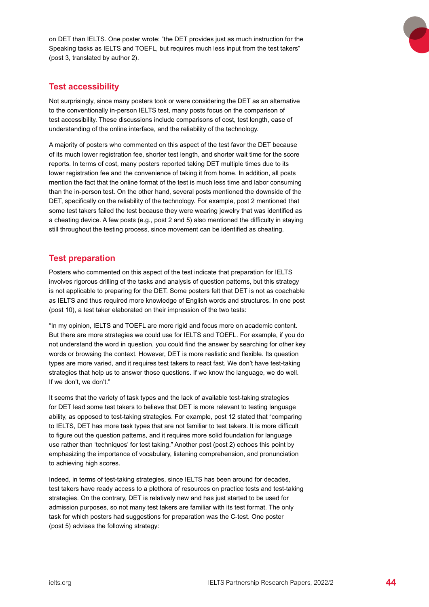<span id="page-43-0"></span>on DET than IELTS. One poster wrote: "the DET provides just as much instruction for the Speaking tasks as IELTS and TOEFL, but requires much less input from the test takers" (post 3, translated by author 2).

## **Test accessibility**

Not surprisingly, since many posters took or were considering the DET as an alternative to the conventionally in-person IELTS test, many posts focus on the comparison of test accessibility. These discussions include comparisons of cost, test length, ease of understanding of the online interface, and the reliability of the technology.

A majority of posters who commented on this aspect of the test favor the DET because of its much lower registration fee, shorter test length, and shorter wait time for the score reports. In terms of cost, many posters reported taking DET multiple times due to its lower registration fee and the convenience of taking it from home. In addition, all posts mention the fact that the online format of the test is much less time and labor consuming than the in-person test. On the other hand, several posts mentioned the downside of the DET, specifically on the reliability of the technology. For example, post 2 mentioned that some test takers failed the test because they were wearing jewelry that was identified as a cheating device. A few posts (e.g., post 2 and 5) also mentioned the difficulty in staying still throughout the testing process, since movement can be identified as cheating.

## **Test preparation**

Posters who commented on this aspect of the test indicate that preparation for IELTS involves rigorous drilling of the tasks and analysis of question patterns, but this strategy is not applicable to preparing for the DET. Some posters felt that DET is not as coachable as IELTS and thus required more knowledge of English words and structures. In one post (post 10), a test taker elaborated on their impression of the two tests:

"In my opinion, IELTS and TOEFL are more rigid and focus more on academic content. But there are more strategies we could use for IELTS and TOEFL. For example, if you do not understand the word in question, you could find the answer by searching for other key words or browsing the context. However, DET is more realistic and flexible. Its question types are more varied, and it requires test takers to react fast. We don't have test-taking strategies that help us to answer those questions. If we know the language, we do well. If we don't, we don't."

It seems that the variety of task types and the lack of available test-taking strategies for DET lead some test takers to believe that DET is more relevant to testing language ability, as opposed to test-taking strategies. For example, post 12 stated that "comparing to IELTS, DET has more task types that are not familiar to test takers. It is more difficult to figure out the question patterns, and it requires more solid foundation for language use rather than 'techniques' for test taking." Another post (post 2) echoes this point by emphasizing the importance of vocabulary, listening comprehension, and pronunciation to achieving high scores.

Indeed, in terms of test-taking strategies, since IELTS has been around for decades, test takers have ready access to a plethora of resources on practice tests and test-taking strategies. On the contrary, DET is relatively new and has just started to be used for admission purposes, so not many test takers are familiar with its test format. The only task for which posters had suggestions for preparation was the C-test. One poster (post 5) advises the following strategy: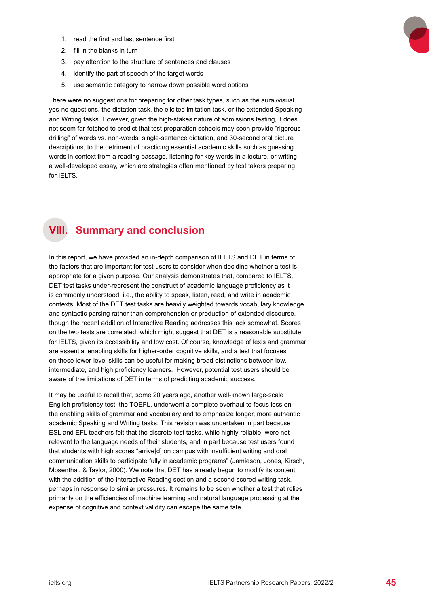- <span id="page-44-0"></span>1. read the first and last sentence first
- 2. fill in the blanks in turn
- 3. pay attention to the structure of sentences and clauses
- 4. identify the part of speech of the target words
- 5. use semantic category to narrow down possible word options

There were no suggestions for preparing for other task types, such as the aural/visual yes-no questions, the dictation task, the elicited imitation task, or the extended Speaking and Writing tasks. However, given the high-stakes nature of admissions testing, it does not seem far-fetched to predict that test preparation schools may soon provide "rigorous drilling" of words vs. non-words, single-sentence dictation, and 30-second oral picture descriptions, to the detriment of practicing essential academic skills such as guessing words in context from a reading passage, listening for key words in a lecture, or writing a well-developed essay, which are strategies often mentioned by test takers preparing for IELTS.

# **VIII. Summary and conclusion**

In this report, we have provided an in-depth comparison of IELTS and DET in terms of the factors that are important for test users to consider when deciding whether a test is appropriate for a given purpose. Our analysis demonstrates that, compared to IELTS, DET test tasks under-represent the construct of academic language proficiency as it is commonly understood, i.e., the ability to speak, listen, read, and write in academic contexts. Most of the DET test tasks are heavily weighted towards vocabulary knowledge and syntactic parsing rather than comprehension or production of extended discourse, though the recent addition of Interactive Reading addresses this lack somewhat. Scores on the two tests are correlated, which might suggest that DET is a reasonable substitute for IELTS, given its accessibility and low cost. Of course, knowledge of lexis and grammar are essential enabling skills for higher-order cognitive skills, and a test that focuses on these lower-level skills can be useful for making broad distinctions between low, intermediate, and high proficiency learners. However, potential test users should be aware of the limitations of DET in terms of predicting academic success.

It may be useful to recall that, some 20 years ago, another well-known large-scale English proficiency test, the TOEFL, underwent a complete overhaul to focus less on the enabling skills of grammar and vocabulary and to emphasize longer, more authentic academic Speaking and Writing tasks. This revision was undertaken in part because ESL and EFL teachers felt that the discrete test tasks, while highly reliable, were not relevant to the language needs of their students, and in part because test users found that students with high scores "arrive[d] on campus with insufficient writing and oral communication skills to participate fully in academic programs" (Jamieson, Jones, Kirsch, Mosenthal, & Taylor, 2000). We note that DET has already begun to modify its content with the addition of the Interactive Reading section and a second scored writing task, perhaps in response to similar pressures. It remains to be seen whether a test that relies primarily on the efficiencies of machine learning and natural language processing at the expense of cognitive and context validity can escape the same fate.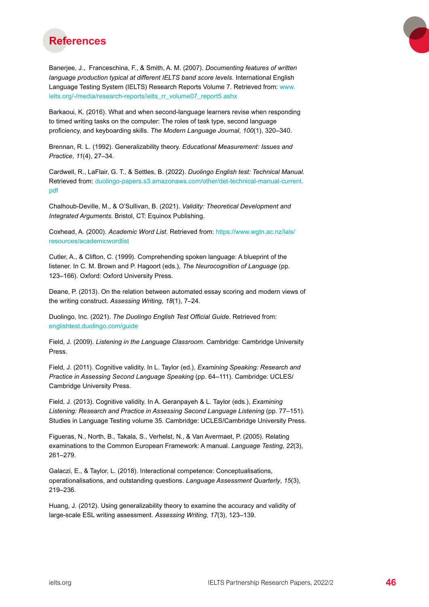<span id="page-45-0"></span>

Banerjee, J., Franceschina, F., & Smith, A. M. (2007). *Documenting features of written language production typical at different IELTS band score levels*. International English Language Testing System (IELTS) Research Reports Volume 7. Retrieved from: [www.](http://www.ielts.org/-/media/research-reports/ielts_rr_volume07_report5.ashx ) [ielts.org/-/media/research-reports/ielts\\_rr\\_volume07\\_report5.ashx](http://www.ielts.org/-/media/research-reports/ielts_rr_volume07_report5.ashx )

Barkaoui, K. (2016). What and when second-language learners revise when responding to timed writing tasks on the computer: The roles of task type, second language proficiency, and keyboarding skills. *The Modern Language Journal*, *100*(1), 320–340.

Brennan, R. L. (1992). Generalizability theory. *Educational Measurement: Issues and Practice*, *11*(4), 27–34.

Cardwell, R., LaFlair, G. T., & Settles, B. (2022). *Duolingo English test: Technical Manual*. Retrieved from: [duolingo-papers.s3.amazonaws.com/other/det-technical-manual-current.](http://duolingo-papers.s3.amazonaws.com/other/det-technical-manual-current.pdf) [pdf](http://duolingo-papers.s3.amazonaws.com/other/det-technical-manual-current.pdf)

Chalhoub-Deville, M., & O'Sullivan, B. (2021). *Validity: Theoretical Development and Integrated Arguments.* Bristol, CT: Equinox Publishing.

Coxhead, A. (2000). *Academic Word List*. Retrieved from: [https://www.wgtn.ac.nz/lals/](https://www.wgtn.ac.nz/lals/resources/academicwordlist) [resources/academicwordlist](https://www.wgtn.ac.nz/lals/resources/academicwordlist)

Cutler, A., & Clifton, C. (1999). Comprehending spoken language: A blueprint of the listener. In C. M. Brown and P. Hagoort (eds.), *The Neurocognition of Language* (pp. 123–166). Oxford: Oxford University Press.

Deane, P. (2013). On the relation between automated essay scoring and modern views of the writing construct. *Assessing Writing*, *18*(1), 7–24.

Duolingo, Inc. (2021). *The Duolingo English Test Official Guide*. Retrieved from: [englishtest.duolingo.com/guide](http://englishtest.duolingo.com/guide)

Field, J. (2009). *Listening in the Language Classroom*. Cambridge: Cambridge University Press.

Field, J. (2011). Cognitive validity. In L. Taylor (ed.), *Examining Speaking: Research and Practice in Assessing Second Language Speaking* (pp. 64–111). Cambridge: UCLES/ Cambridge University Press.

Field, J. (2013). Cognitive validity. In A. Geranpayeh & L. Taylor (eds.), *Examining Listening: Research and Practice in Assessing Second Language Listening* (pp. 77–151). Studies in Language Testing volume 35. Cambridge: UCLES/Cambridge University Press.

Figueras, N., North, B., Takala, S., Verhelst, N., & Van Avermaet, P. (2005). Relating examinations to the Common European Framework: A manual. *Language Testing, 22*(3), 261–279.

Galaczi, E., & Taylor, L. (2018). Interactional competence: Conceptualisations, operationalisations, and outstanding questions. *Language Assessment Quarterly*, *15*(3), 219–236.

Huang, J. (2012). Using generalizability theory to examine the accuracy and validity of large-scale ESL writing assessment. *Assessing Writing*, *17*(3), 123–139.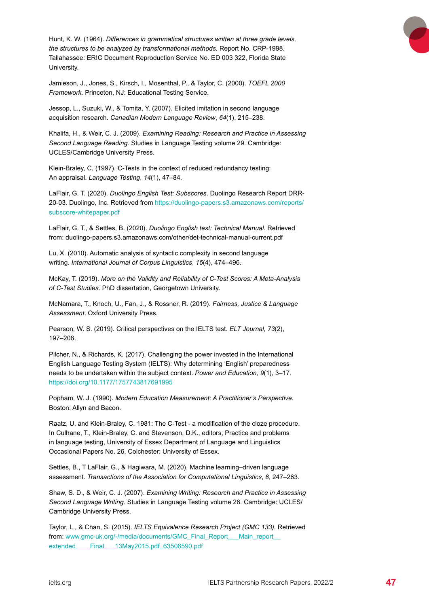Hunt, K. W. (1964). *Differences in grammatical structures written at three grade levels, the structures to be analyzed by transformational methods.* Report No. CRP-1998. Tallahassee: ERIC Document Reproduction Service No. ED 003 322, Florida State University.

Jamieson, J., Jones, S., Kirsch, I., Mosenthal, P., & Taylor, C. (2000). *TOEFL 2000 Framework*. Princeton, NJ: Educational Testing Service.

Jessop, L., Suzuki, W., & Tomita, Y. (2007). Elicited imitation in second language acquisition research. *Canadian Modern Language Review*, *64*(1), 215–238.

Khalifa, H., & Weir, C. J. (2009). *Examining Reading: Research and Practice in Assessing Second Language Reading.* Studies in Language Testing volume 29. Cambridge: UCLES/Cambridge University Press.

Klein-Braley, C. (1997). C-Tests in the context of reduced redundancy testing: An appraisal. *Language Testing*, *14*(1), 47–84.

LaFlair, G. T. (2020). *Duolingo English Test: Subscores*. Duolingo Research Report DRR-20-03. Duolingo, Inc. Retrieved from [https://duolingo-papers.s3.amazonaws.com/reports/](https://duolingo-papers.s3.amazonaws.com/reports/subscore-whitepaper.pdf ) [subscore-whitepaper.pdf](https://duolingo-papers.s3.amazonaws.com/reports/subscore-whitepaper.pdf )

LaFlair, G. T., & Settles, B. (2020). *Duolingo English test: Technical Manual*. Retrieved from: duolingo-papers.s3.amazonaws.com/other/det-technical-manual-current.pdf

Lu, X. (2010). Automatic analysis of syntactic complexity in second language writing. *International Journal of Corpus Linguistics*, *15*(4), 474–496.

McKay, T. (2019). *More on the Validity and Reliability of C-Test Scores: A Meta-Analysis of C-Test Studies*. PhD dissertation, Georgetown University.

McNamara, T., Knoch, U., Fan, J., & Rossner, R. (2019). *Fairness, Justice & Language Assessment*. Oxford University Press.

Pearson, W. S. (2019). Critical perspectives on the IELTS test. *ELT Journal, 73*(2), 197–206.

Pilcher, N., & Richards, K. (2017). Challenging the power invested in the International English Language Testing System (IELTS): Why determining 'English' preparedness needs to be undertaken within the subject context. *Power and Education, 9*(1), 3–17. <https://doi.org/10.1177/1757743817691995>

Popham, W. J. (1990). *Modern Education Measurement: A Practitioner's Perspective.* Boston: Allyn and Bacon.

Raatz, U. and Klein-Braley, C. 1981: The C-Test - a modification of the cloze procedure. In Culhane, T., Klein-Braley, C. and Stevenson, D.K., editors, Practice and problems in language testing, University of Essex Department of Language and Linguistics Occasional Papers No. 26, Colchester: University of Essex.

Settles, B., T LaFlair, G., & Hagiwara, M. (2020). Machine learning–driven language assessment. *Transactions of the Association for Computational Linguistics*, *8*, 247–263.

Shaw, S. D., & Weir, C. J. (2007). *Examining Writing: Research and Practice in Assessing Second Language Writing.* Studies in Language Testing volume 26. Cambridge: UCLES/ Cambridge University Press.

Taylor, L., & Chan, S. (2015). *IELTS Equivalence Research Project (GMC 133).* Retrieved from: [www.gmc-uk.org/-/media/documents/GMC\\_Final\\_Report\\_\\_\\_Main\\_report\\_\\_](http://www.gmc-uk.org/-/media/documents/GMC_Final_Report___Main_report__extended____Final___13May2015.pdf_63506590.pdf) [extended\\_\\_\\_\\_Final\\_\\_\\_13May2015.pdf\\_63506590.pdf](http://www.gmc-uk.org/-/media/documents/GMC_Final_Report___Main_report__extended____Final___13May2015.pdf_63506590.pdf)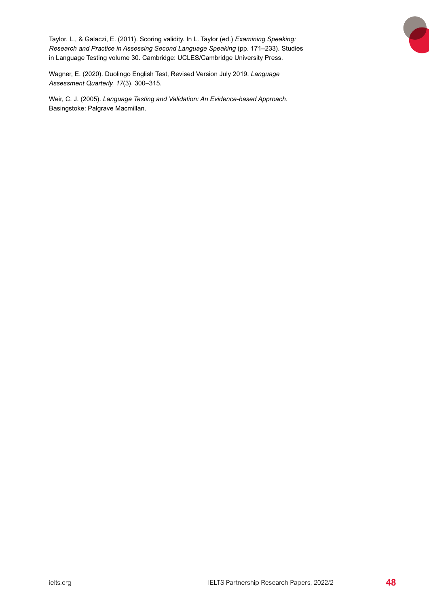<span id="page-47-0"></span>Taylor, L., & Galaczi, E. (2011). Scoring validity. In L. Taylor (ed.) *Examining Speaking: Research and Practice in Assessing Second Language Speaking (pp. 171–233). Studies* in Language Testing volume 30. Cambridge: UCLES/Cambridge University Press.

Wagner, E. (2020). Duolingo English Test, Revised Version July 2019. *Language Assessment Quarterly, 17*(3), 300–315.

Weir, C. J. (2005). *Language Testing and Validation: An Evidence-based Approach*. Basingstoke: Palgrave Macmillan.